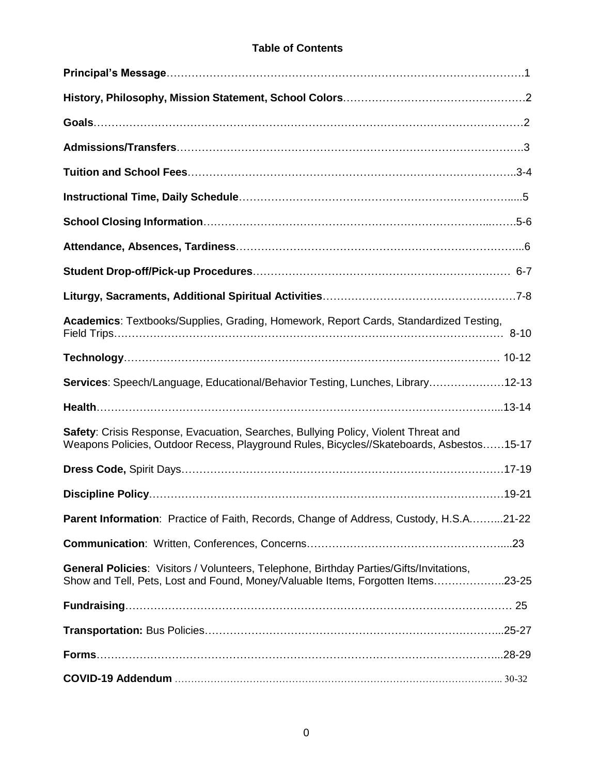#### **Table of Contents**

| Academics: Textbooks/Supplies, Grading, Homework, Report Cards, Standardized Testing,                                                                                          |
|--------------------------------------------------------------------------------------------------------------------------------------------------------------------------------|
|                                                                                                                                                                                |
| Services: Speech/Language, Educational/Behavior Testing, Lunches, Library12-13                                                                                                 |
|                                                                                                                                                                                |
| Safety: Crisis Response, Evacuation, Searches, Bullying Policy, Violent Threat and<br>Weapons Policies, Outdoor Recess, Playground Rules, Bicycles//Skateboards, Asbestos15-17 |
|                                                                                                                                                                                |
|                                                                                                                                                                                |
| <b>Parent Information:</b> Practice of Faith, Records, Change of Address, Custody, H.S.A21-22                                                                                  |
|                                                                                                                                                                                |
| General Policies: Visitors / Volunteers, Telephone, Birthday Parties/Gifts/Invitations,<br>Show and Tell, Pets, Lost and Found, Money/Valuable Items, Forgotten Items23-25     |
|                                                                                                                                                                                |
|                                                                                                                                                                                |
|                                                                                                                                                                                |
|                                                                                                                                                                                |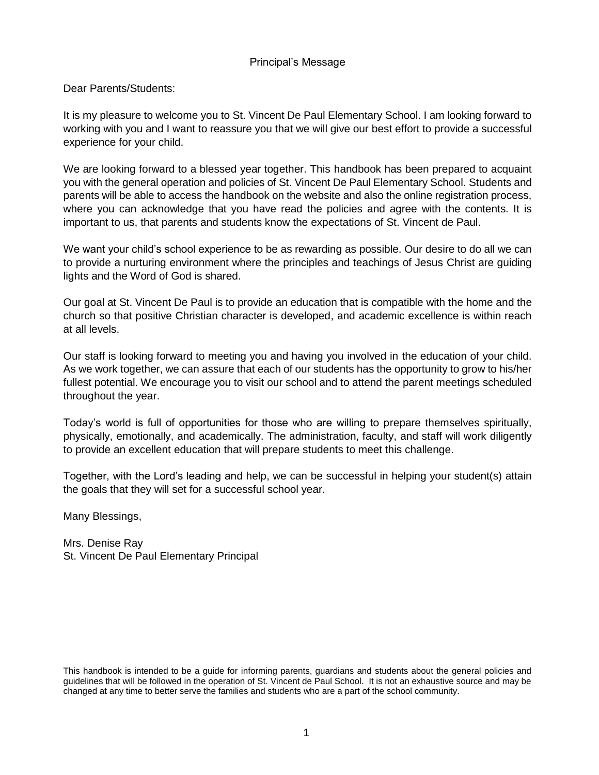#### Principal's Message

Dear Parents/Students:

It is my pleasure to welcome you to St. Vincent De Paul Elementary School. I am looking forward to working with you and I want to reassure you that we will give our best effort to provide a successful experience for your child.

We are looking forward to a blessed year together. This handbook has been prepared to acquaint you with the general operation and policies of St. Vincent De Paul Elementary School. Students and parents will be able to access the handbook on the website and also the online registration process, where you can acknowledge that you have read the policies and agree with the contents. It is important to us, that parents and students know the expectations of St. Vincent de Paul.

We want your child's school experience to be as rewarding as possible. Our desire to do all we can to provide a nurturing environment where the principles and teachings of Jesus Christ are guiding lights and the Word of God is shared.

Our goal at St. Vincent De Paul is to provide an education that is compatible with the home and the church so that positive Christian character is developed, and academic excellence is within reach at all levels.

Our staff is looking forward to meeting you and having you involved in the education of your child. As we work together, we can assure that each of our students has the opportunity to grow to his/her fullest potential. We encourage you to visit our school and to attend the parent meetings scheduled throughout the year.

Today's world is full of opportunities for those who are willing to prepare themselves spiritually, physically, emotionally, and academically. The administration, faculty, and staff will work diligently to provide an excellent education that will prepare students to meet this challenge.

Together, with the Lord's leading and help, we can be successful in helping your student(s) attain the goals that they will set for a successful school year.

Many Blessings,

Mrs. Denise Ray St. Vincent De Paul Elementary Principal

This handbook is intended to be a guide for informing parents, guardians and students about the general policies and guidelines that will be followed in the operation of St. Vincent de Paul School. It is not an exhaustive source and may be changed at any time to better serve the families and students who are a part of the school community.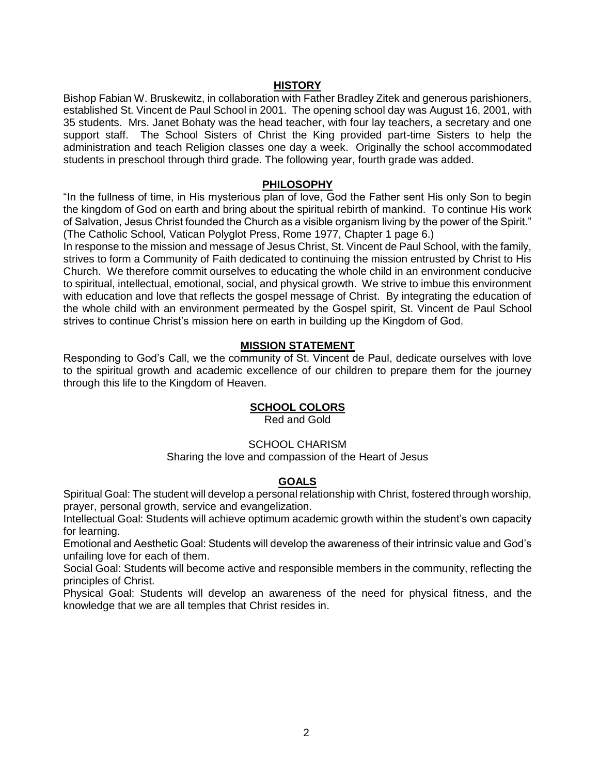#### **HISTORY**

Bishop Fabian W. Bruskewitz, in collaboration with Father Bradley Zitek and generous parishioners, established St. Vincent de Paul School in 2001. The opening school day was August 16, 2001, with 35 students. Mrs. Janet Bohaty was the head teacher, with four lay teachers, a secretary and one support staff. The School Sisters of Christ the King provided part-time Sisters to help the administration and teach Religion classes one day a week. Originally the school accommodated students in preschool through third grade. The following year, fourth grade was added.

#### **PHILOSOPHY**

"In the fullness of time, in His mysterious plan of love, God the Father sent His only Son to begin the kingdom of God on earth and bring about the spiritual rebirth of mankind. To continue His work of Salvation, Jesus Christ founded the Church as a visible organism living by the power of the Spirit." (The Catholic School, Vatican Polyglot Press, Rome 1977, Chapter 1 page 6.)

In response to the mission and message of Jesus Christ, St. Vincent de Paul School, with the family, strives to form a Community of Faith dedicated to continuing the mission entrusted by Christ to His Church. We therefore commit ourselves to educating the whole child in an environment conducive to spiritual, intellectual, emotional, social, and physical growth. We strive to imbue this environment with education and love that reflects the gospel message of Christ. By integrating the education of the whole child with an environment permeated by the Gospel spirit, St. Vincent de Paul School strives to continue Christ's mission here on earth in building up the Kingdom of God.

#### **MISSION STATEMENT**

Responding to God's Call, we the community of St. Vincent de Paul, dedicate ourselves with love to the spiritual growth and academic excellence of our children to prepare them for the journey through this life to the Kingdom of Heaven.

#### **SCHOOL COLORS**

Red and Gold

#### SCHOOL CHARISM

Sharing the love and compassion of the Heart of Jesus

#### **GOALS**

Spiritual Goal: The student will develop a personal relationship with Christ, fostered through worship, prayer, personal growth, service and evangelization.

Intellectual Goal: Students will achieve optimum academic growth within the student's own capacity for learning.

Emotional and Aesthetic Goal: Students will develop the awareness of their intrinsic value and God's unfailing love for each of them.

Social Goal: Students will become active and responsible members in the community, reflecting the principles of Christ.

Physical Goal: Students will develop an awareness of the need for physical fitness, and the knowledge that we are all temples that Christ resides in.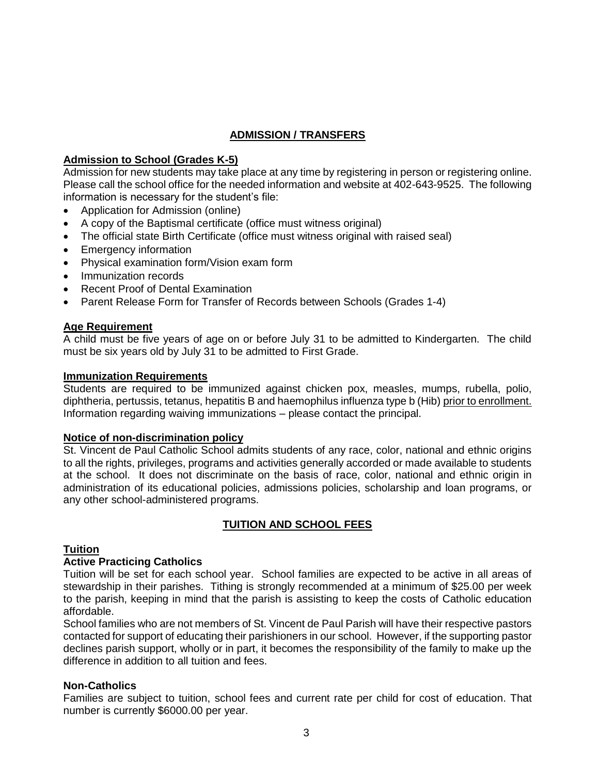#### **ADMISSION / TRANSFERS**

#### **Admission to School (Grades K-5)**

Admission for new students may take place at any time by registering in person or registering online. Please call the school office for the needed information and website at 402-643-9525. The following information is necessary for the student's file:

- Application for Admission (online)
- A copy of the Baptismal certificate (office must witness original)
- The official state Birth Certificate (office must witness original with raised seal)
- Emergency information
- Physical examination form/Vision exam form
- Immunization records
- Recent Proof of Dental Examination
- Parent Release Form for Transfer of Records between Schools (Grades 1-4)

#### **Age Requirement**

A child must be five years of age on or before July 31 to be admitted to Kindergarten. The child must be six years old by July 31 to be admitted to First Grade.

#### **Immunization Requirements**

Students are required to be immunized against chicken pox, measles, mumps, rubella, polio, diphtheria, pertussis, tetanus, hepatitis B and haemophilus influenza type b (Hib) prior to enrollment. Information regarding waiving immunizations – please contact the principal.

#### **Notice of non-discrimination policy**

St. Vincent de Paul Catholic School admits students of any race, color, national and ethnic origins to all the rights, privileges, programs and activities generally accorded or made available to students at the school. It does not discriminate on the basis of race, color, national and ethnic origin in administration of its educational policies, admissions policies, scholarship and loan programs, or any other school-administered programs.

#### **TUITION AND SCHOOL FEES**

#### **Tuition**

#### **Active Practicing Catholics**

Tuition will be set for each school year. School families are expected to be active in all areas of stewardship in their parishes. Tithing is strongly recommended at a minimum of \$25.00 per week to the parish, keeping in mind that the parish is assisting to keep the costs of Catholic education affordable.

School families who are not members of St. Vincent de Paul Parish will have their respective pastors contacted for support of educating their parishioners in our school. However, if the supporting pastor declines parish support, wholly or in part, it becomes the responsibility of the family to make up the difference in addition to all tuition and fees.

#### **Non-Catholics**

Families are subject to tuition, school fees and current rate per child for cost of education. That number is currently \$6000.00 per year.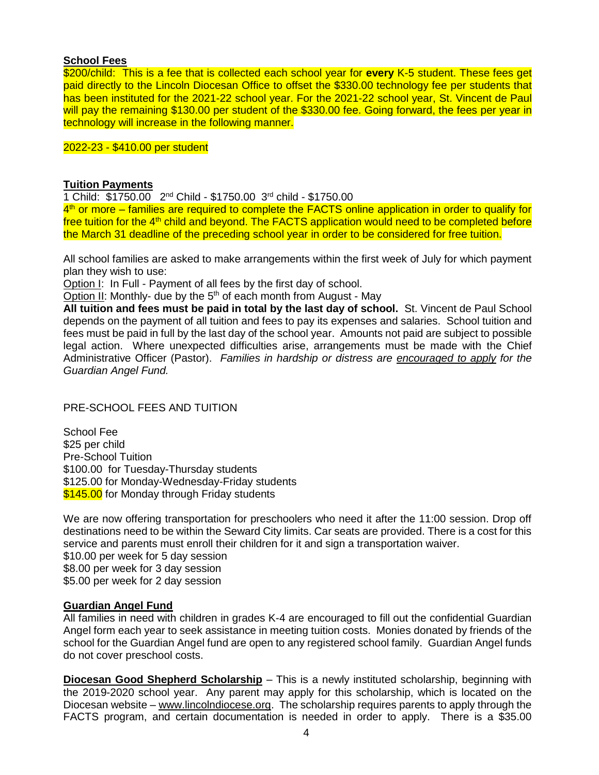#### **School Fees**

\$200/child: This is a fee that is collected each school year for **every** K-5 student. These fees get paid directly to the Lincoln Diocesan Office to offset the \$330.00 technology fee per students that has been instituted for the 2021-22 school year. For the 2021-22 school year, St. Vincent de Paul will pay the remaining \$130.00 per student of the \$330.00 fee. Going forward, the fees per year in technology will increase in the following manner.

#### 2022-23 - \$410.00 per student

#### **Tuition Payments**

1 Child: \$1750.00 2<sup>nd</sup> Child - \$1750.00 3<sup>rd</sup> child - \$1750.00

4<sup>th</sup> or more – families are required to complete the FACTS online application in order to qualify for free tuition for the  $4<sup>th</sup>$  child and beyond. The FACTS application would need to be completed before the March 31 deadline of the preceding school year in order to be considered for free tuition.

All school families are asked to make arrangements within the first week of July for which payment plan they wish to use:

Option I: In Full - Payment of all fees by the first day of school.

Option II: Monthly- due by the  $5<sup>th</sup>$  of each month from August - May

**All tuition and fees must be paid in total by the last day of school.** St. Vincent de Paul School depends on the payment of all tuition and fees to pay its expenses and salaries. School tuition and fees must be paid in full by the last day of the school year. Amounts not paid are subject to possible legal action. Where unexpected difficulties arise, arrangements must be made with the Chief Administrative Officer (Pastor). *Families in hardship or distress are encouraged to apply for the Guardian Angel Fund.*

#### PRE-SCHOOL FEES AND TUITION

School Fee \$25 per child Pre-School Tuition \$100.00 for Tuesday-Thursday students \$125.00 for Monday-Wednesday-Friday students \$145.00 for Monday through Friday students

We are now offering transportation for preschoolers who need it after the 11:00 session. Drop off destinations need to be within the Seward City limits. Car seats are provided. There is a cost for this service and parents must enroll their children for it and sign a transportation waiver. \$10.00 per week for 5 day session \$8.00 per week for 3 day session \$5.00 per week for 2 day session

#### **Guardian Angel Fund**

All families in need with children in grades K-4 are encouraged to fill out the confidential Guardian Angel form each year to seek assistance in meeting tuition costs. Monies donated by friends of the school for the Guardian Angel fund are open to any registered school family. Guardian Angel funds do not cover preschool costs.

**Diocesan Good Shepherd Scholarship** – This is a newly instituted scholarship, beginning with the 2019-2020 school year. Any parent may apply for this scholarship, which is located on the Diocesan website – [www.lincolndiocese.org.](http://www.lincolndiocese.org/) The scholarship requires parents to apply through the FACTS program, and certain documentation is needed in order to apply. There is a \$35.00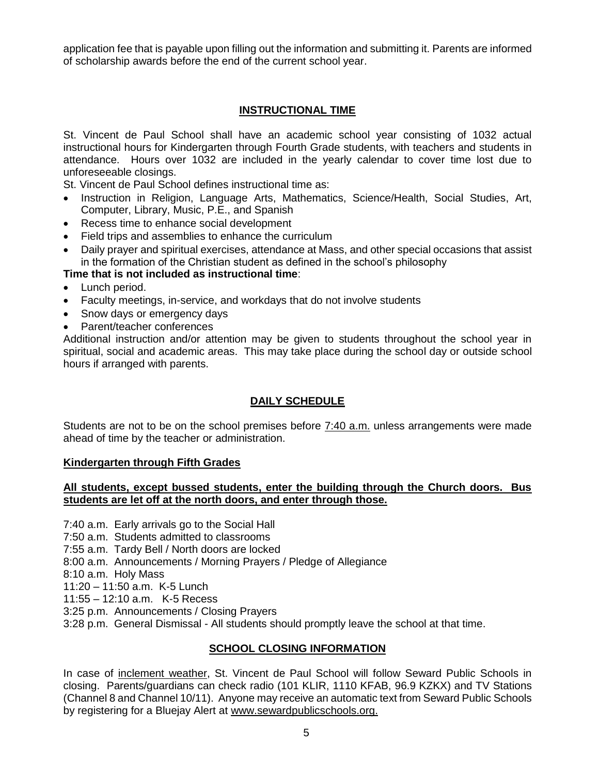application fee that is payable upon filling out the information and submitting it. Parents are informed of scholarship awards before the end of the current school year.

#### **INSTRUCTIONAL TIME**

St. Vincent de Paul School shall have an academic school year consisting of 1032 actual instructional hours for Kindergarten through Fourth Grade students, with teachers and students in attendance. Hours over 1032 are included in the yearly calendar to cover time lost due to unforeseeable closings.

St. Vincent de Paul School defines instructional time as:

- Instruction in Religion, Language Arts, Mathematics, Science/Health, Social Studies, Art, Computer, Library, Music, P.E., and Spanish
- Recess time to enhance social development
- Field trips and assemblies to enhance the curriculum
- Daily prayer and spiritual exercises, attendance at Mass, and other special occasions that assist in the formation of the Christian student as defined in the school's philosophy

#### **Time that is not included as instructional time**:

- Lunch period.
- Faculty meetings, in-service, and workdays that do not involve students
- Snow days or emergency days
- Parent/teacher conferences

Additional instruction and/or attention may be given to students throughout the school year in spiritual, social and academic areas. This may take place during the school day or outside school hours if arranged with parents.

#### **DAILY SCHEDULE**

Students are not to be on the school premises before 7:40 a.m. unless arrangements were made ahead of time by the teacher or administration.

#### **Kindergarten through Fifth Grades**

#### **All students, except bussed students, enter the building through the Church doors. Bus students are let off at the north doors, and enter through those.**

7:40 a.m. Early arrivals go to the Social Hall

- 7:50 a.m. Students admitted to classrooms
- 7:55 a.m. Tardy Bell / North doors are locked
- 8:00 a.m. Announcements / Morning Prayers / Pledge of Allegiance
- 8:10 a.m. Holy Mass
- 11:20 11:50 a.m. K-5 Lunch
- 11:55 12:10 a.m. K-5 Recess
- 3:25 p.m. Announcements / Closing Prayers
- 3:28 p.m. General Dismissal All students should promptly leave the school at that time.

#### **SCHOOL CLOSING INFORMATION**

In case of inclement weather, St. Vincent de Paul School will follow Seward Public Schools in closing. Parents/guardians can check radio (101 KLIR, 1110 KFAB, 96.9 KZKX) and TV Stations (Channel 8 and Channel 10/11). Anyone may receive an automatic text from Seward Public Schools by registering for a Bluejay Alert at [www.sewardpublicschools.org.](http://www.sewardpublicschools.org/)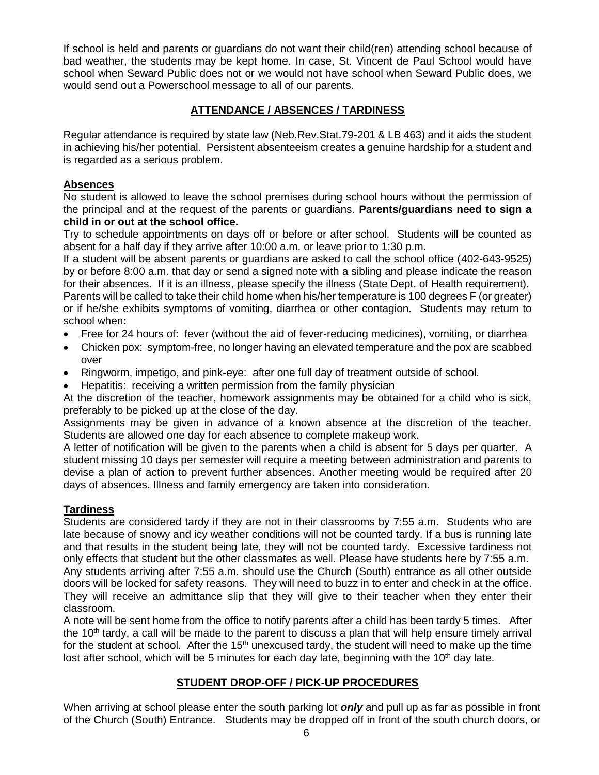If school is held and parents or guardians do not want their child(ren) attending school because of bad weather, the students may be kept home. In case, St. Vincent de Paul School would have school when Seward Public does not or we would not have school when Seward Public does, we would send out a Powerschool message to all of our parents.

#### **ATTENDANCE / ABSENCES / TARDINESS**

Regular attendance is required by state law (Neb.Rev.Stat.79-201 & LB 463) and it aids the student in achieving his/her potential. Persistent absenteeism creates a genuine hardship for a student and is regarded as a serious problem.

#### **Absences**

No student is allowed to leave the school premises during school hours without the permission of the principal and at the request of the parents or guardians. **Parents/guardians need to sign a child in or out at the school office.** 

Try to schedule appointments on days off or before or after school. Students will be counted as absent for a half day if they arrive after 10:00 a.m. or leave prior to 1:30 p.m.

If a student will be absent parents or guardians are asked to call the school office (402-643-9525) by or before 8:00 a.m. that day or send a signed note with a sibling and please indicate the reason for their absences. If it is an illness, please specify the illness (State Dept. of Health requirement).

Parents will be called to take their child home when his/her temperature is 100 degrees F (or greater) or if he/she exhibits symptoms of vomiting, diarrhea or other contagion.Students may return to school when**:**

- Free for 24 hours of: fever (without the aid of fever-reducing medicines), vomiting, or diarrhea
- Chicken pox: symptom-free, no longer having an elevated temperature and the pox are scabbed over
- Ringworm, impetigo, and pink-eye: after one full day of treatment outside of school.
- Hepatitis: receiving a written permission from the family physician

At the discretion of the teacher, homework assignments may be obtained for a child who is sick, preferably to be picked up at the close of the day.

Assignments may be given in advance of a known absence at the discretion of the teacher. Students are allowed one day for each absence to complete makeup work.

A letter of notification will be given to the parents when a child is absent for 5 days per quarter. A student missing 10 days per semester will require a meeting between administration and parents to devise a plan of action to prevent further absences. Another meeting would be required after 20 days of absences. Illness and family emergency are taken into consideration.

#### **Tardiness**

Students are considered tardy if they are not in their classrooms by 7:55 a.m. Students who are late because of snowy and icy weather conditions will not be counted tardy. If a bus is running late and that results in the student being late, they will not be counted tardy. Excessive tardiness not only effects that student but the other classmates as well. Please have students here by 7:55 a.m. Any students arriving after 7:55 a.m. should use the Church (South) entrance as all other outside doors will be locked for safety reasons. They will need to buzz in to enter and check in at the office. They will receive an admittance slip that they will give to their teacher when they enter their classroom.

A note will be sent home from the office to notify parents after a child has been tardy 5 times. After the 10<sup>th</sup> tardy, a call will be made to the parent to discuss a plan that will help ensure timely arrival for the student at school. After the  $15<sup>th</sup>$  unexcused tardy, the student will need to make up the time lost after school, which will be 5 minutes for each day late, beginning with the  $10<sup>th</sup>$  day late.

#### **STUDENT DROP-OFF / PICK-UP PROCEDURES**

When arriving at school please enter the south parking lot *only* and pull up as far as possible in front of the Church (South) Entrance. Students may be dropped off in front of the south church doors, or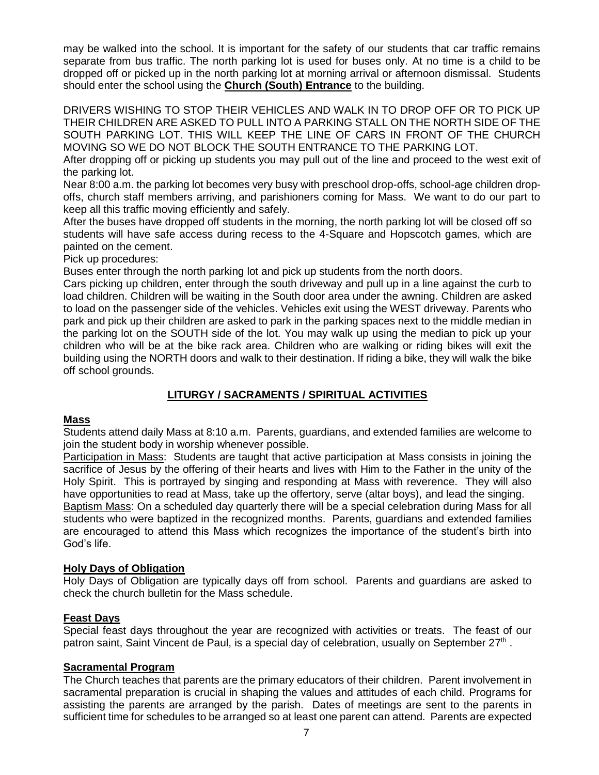may be walked into the school. It is important for the safety of our students that car traffic remains separate from bus traffic. The north parking lot is used for buses only. At no time is a child to be dropped off or picked up in the north parking lot at morning arrival or afternoon dismissal. Students should enter the school using the **Church (South) Entrance** to the building.

DRIVERS WISHING TO STOP THEIR VEHICLES AND WALK IN TO DROP OFF OR TO PICK UP THEIR CHILDREN ARE ASKED TO PULL INTO A PARKING STALL ON THE NORTH SIDE OF THE SOUTH PARKING LOT. THIS WILL KEEP THE LINE OF CARS IN FRONT OF THE CHURCH MOVING SO WE DO NOT BLOCK THE SOUTH ENTRANCE TO THE PARKING LOT.

After dropping off or picking up students you may pull out of the line and proceed to the west exit of the parking lot.

Near 8:00 a.m. the parking lot becomes very busy with preschool drop-offs, school-age children dropoffs, church staff members arriving, and parishioners coming for Mass. We want to do our part to keep all this traffic moving efficiently and safely.

After the buses have dropped off students in the morning, the north parking lot will be closed off so students will have safe access during recess to the 4-Square and Hopscotch games, which are painted on the cement.

Pick up procedures:

Buses enter through the north parking lot and pick up students from the north doors.

Cars picking up children, enter through the south driveway and pull up in a line against the curb to load children. Children will be waiting in the South door area under the awning. Children are asked to load on the passenger side of the vehicles. Vehicles exit using the WEST driveway. Parents who park and pick up their children are asked to park in the parking spaces next to the middle median in the parking lot on the SOUTH side of the lot. You may walk up using the median to pick up your children who will be at the bike rack area. Children who are walking or riding bikes will exit the building using the NORTH doors and walk to their destination. If riding a bike, they will walk the bike off school grounds.

#### **LITURGY / SACRAMENTS / SPIRITUAL ACTIVITIES**

#### **Mass**

Students attend daily Mass at 8:10 a.m. Parents, guardians, and extended families are welcome to join the student body in worship whenever possible.

Participation in Mass: Students are taught that active participation at Mass consists in joining the sacrifice of Jesus by the offering of their hearts and lives with Him to the Father in the unity of the Holy Spirit. This is portrayed by singing and responding at Mass with reverence. They will also have opportunities to read at Mass, take up the offertory, serve (altar boys), and lead the singing. Baptism Mass: On a scheduled day quarterly there will be a special celebration during Mass for all students who were baptized in the recognized months. Parents, guardians and extended families are encouraged to attend this Mass which recognizes the importance of the student's birth into God's life.

#### **Holy Days of Obligation**

Holy Days of Obligation are typically days off from school. Parents and guardians are asked to check the church bulletin for the Mass schedule.

#### **Feast Days**

Special feast days throughout the year are recognized with activities or treats. The feast of our patron saint, Saint Vincent de Paul, is a special day of celebration, usually on September 27<sup>th</sup>.

#### **Sacramental Program**

The Church teaches that parents are the primary educators of their children. Parent involvement in sacramental preparation is crucial in shaping the values and attitudes of each child. Programs for assisting the parents are arranged by the parish. Dates of meetings are sent to the parents in sufficient time for schedules to be arranged so at least one parent can attend. Parents are expected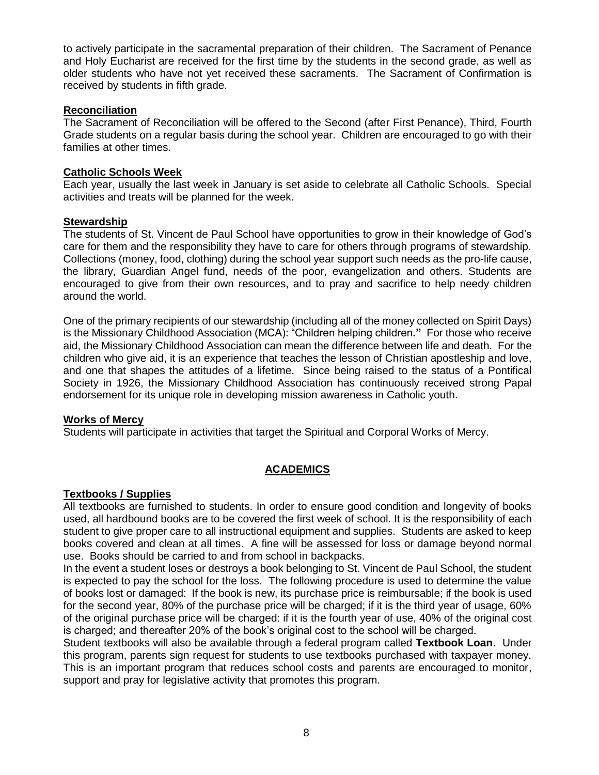to actively participate in the sacramental preparation of their children. The Sacrament of Penance and Holy Eucharist are received for the first time by the students in the second grade, as well as older students who have not yet received these sacraments. The Sacrament of Confirmation is received by students in fifth grade.

#### **Reconciliation**

The Sacrament of Reconciliation will be offered to the Second (after First Penance), Third, Fourth Grade students on a regular basis during the school year. Children are encouraged to go with their families at other times.

#### **Catholic Schools Week**

Each year, usually the last week in January is set aside to celebrate all Catholic Schools. Special activities and treats will be planned for the week.

#### **Stewardship**

The students of St. Vincent de Paul School have opportunities to grow in their knowledge of God's care for them and the responsibility they have to care for others through programs of stewardship. Collections (money, food, clothing) during the school year support such needs as the pro-life cause, the library, Guardian Angel fund, needs of the poor, evangelization and others. Students are encouraged to give from their own resources, and to pray and sacrifice to help needy children around the world.

One of the primary recipients of our stewardship (including all of the money collected on Spirit Days) is the Missionary Childhood Association (MCA): "Children helping children**."** For those who receive aid, the Missionary Childhood Association can mean the difference between life and death. For the children who give aid, it is an experience that teaches the lesson of Christian apostleship and love, and one that shapes the attitudes of a lifetime. Since being raised to the status of a Pontifical Society in 1926, the Missionary Childhood Association has continuously received strong Papal endorsement for its unique role in developing mission awareness in Catholic youth.

#### **Works of Mercy**

Students will participate in activities that target the Spiritual and Corporal Works of Mercy.

#### **ACADEMICS**

#### **Textbooks / Supplies**

All textbooks are furnished to students. In order to ensure good condition and longevity of books used, all hardbound books are to be covered the first week of school. It is the responsibility of each student to give proper care to all instructional equipment and supplies. Students are asked to keep books covered and clean at all times. A fine will be assessed for loss or damage beyond normal use. Books should be carried to and from school in backpacks.

In the event a student loses or destroys a book belonging to St. Vincent de Paul School, the student is expected to pay the school for the loss. The following procedure is used to determine the value of books lost or damaged: If the book is new, its purchase price is reimbursable; if the book is used for the second year, 80% of the purchase price will be charged; if it is the third year of usage, 60% of the original purchase price will be charged: if it is the fourth year of use, 40% of the original cost is charged; and thereafter 20% of the book's original cost to the school will be charged.

Student textbooks will also be available through a federal program called **Textbook Loan**. Under this program, parents sign request for students to use textbooks purchased with taxpayer money. This is an important program that reduces school costs and parents are encouraged to monitor, support and pray for legislative activity that promotes this program.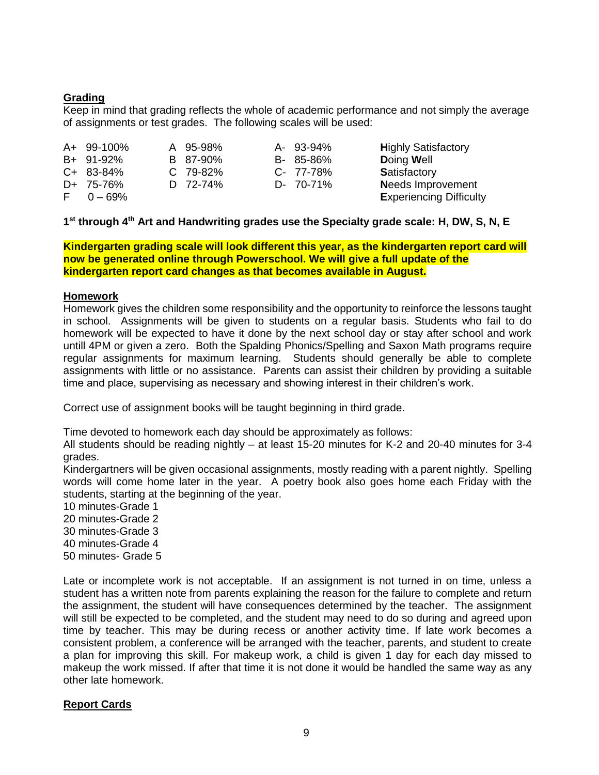#### **Grading**

Keep in mind that grading reflects the whole of academic performance and not simply the average of assignments or test grades. The following scales will be used:

| A+ 99-100%     | A 95-98% | A- 93-94% | <b>Highly Satisfactory</b>     |
|----------------|----------|-----------|--------------------------------|
| B+ 91-92%      | B 87-90% | B- 85-86% | Doing Well                     |
| C+ 83-84%      | C 79-82% | C- 77-78% | Satisfactory                   |
| D+ 75-76%      | D 72-74% | D- 70-71% | <b>Needs Improvement</b>       |
| $F = 0 - 69\%$ |          |           | <b>Experiencing Difficulty</b> |

#### **1 st through 4th Art and Handwriting grades use the Specialty grade scale: H, DW, S, N, E**

**Kindergarten grading scale will look different this year, as the kindergarten report card will now be generated online through Powerschool. We will give a full update of the kindergarten report card changes as that becomes available in August.** 

#### **Homework**

Homework gives the children some responsibility and the opportunity to reinforce the lessons taught in school. Assignments will be given to students on a regular basis. Students who fail to do homework will be expected to have it done by the next school day or stay after school and work untill 4PM or given a zero. Both the Spalding Phonics/Spelling and Saxon Math programs require regular assignments for maximum learning. Students should generally be able to complete assignments with little or no assistance. Parents can assist their children by providing a suitable time and place, supervising as necessary and showing interest in their children's work.

Correct use of assignment books will be taught beginning in third grade.

Time devoted to homework each day should be approximately as follows:

All students should be reading nightly – at least 15-20 minutes for K-2 and 20-40 minutes for 3-4 grades.

Kindergartners will be given occasional assignments, mostly reading with a parent nightly. Spelling words will come home later in the year. A poetry book also goes home each Friday with the students, starting at the beginning of the year.

- 10 minutes-Grade 1
- 20 minutes-Grade 2
- 30 minutes-Grade 3
- 40 minutes-Grade 4
- 50 minutes- Grade 5

Late or incomplete work is not acceptable. If an assignment is not turned in on time, unless a student has a written note from parents explaining the reason for the failure to complete and return the assignment, the student will have consequences determined by the teacher. The assignment will still be expected to be completed, and the student may need to do so during and agreed upon time by teacher. This may be during recess or another activity time. If late work becomes a consistent problem, a conference will be arranged with the teacher, parents, and student to create a plan for improving this skill. For makeup work, a child is given 1 day for each day missed to makeup the work missed. If after that time it is not done it would be handled the same way as any other late homework.

#### **Report Cards**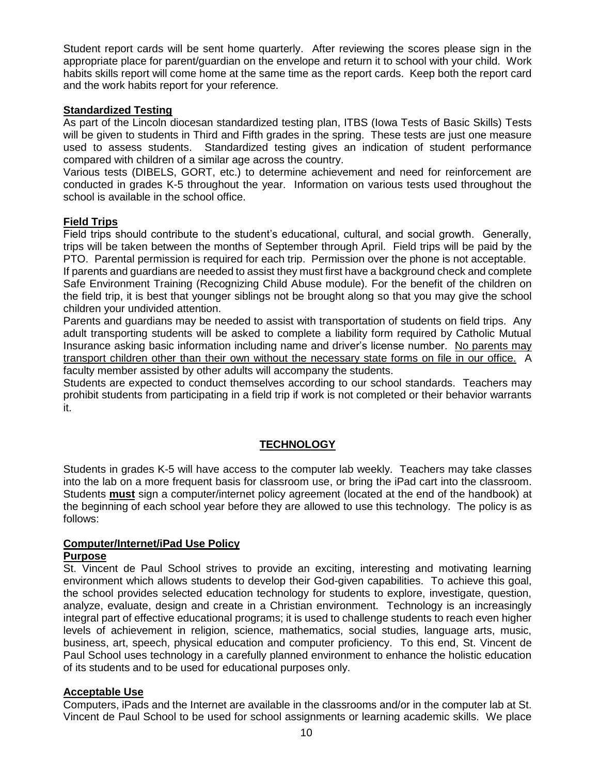Student report cards will be sent home quarterly. After reviewing the scores please sign in the appropriate place for parent/guardian on the envelope and return it to school with your child. Work habits skills report will come home at the same time as the report cards. Keep both the report card and the work habits report for your reference.

#### **Standardized Testing**

As part of the Lincoln diocesan standardized testing plan, ITBS (Iowa Tests of Basic Skills) Tests will be given to students in Third and Fifth grades in the spring. These tests are just one measure used to assess students. Standardized testing gives an indication of student performance compared with children of a similar age across the country.

Various tests (DIBELS, GORT, etc.) to determine achievement and need for reinforcement are conducted in grades K-5 throughout the year. Information on various tests used throughout the school is available in the school office.

#### **Field Trips**

Field trips should contribute to the student's educational, cultural, and social growth. Generally, trips will be taken between the months of September through April. Field trips will be paid by the PTO. Parental permission is required for each trip. Permission over the phone is not acceptable.

If parents and guardians are needed to assist they must first have a background check and complete Safe Environment Training (Recognizing Child Abuse module). For the benefit of the children on the field trip, it is best that younger siblings not be brought along so that you may give the school children your undivided attention.

Parents and guardians may be needed to assist with transportation of students on field trips. Any adult transporting students will be asked to complete a liability form required by Catholic Mutual Insurance asking basic information including name and driver's license number. No parents may transport children other than their own without the necessary state forms on file in our office. A faculty member assisted by other adults will accompany the students.

Students are expected to conduct themselves according to our school standards. Teachers may prohibit students from participating in a field trip if work is not completed or their behavior warrants it.

#### **TECHNOLOGY**

Students in grades K-5 will have access to the computer lab weekly. Teachers may take classes into the lab on a more frequent basis for classroom use, or bring the iPad cart into the classroom. Students **must** sign a computer/internet policy agreement (located at the end of the handbook) at the beginning of each school year before they are allowed to use this technology. The policy is as follows:

#### **Computer/Internet/iPad Use Policy Purpose**

St. Vincent de Paul School strives to provide an exciting, interesting and motivating learning environment which allows students to develop their God-given capabilities. To achieve this goal, the school provides selected education technology for students to explore, investigate, question, analyze, evaluate, design and create in a Christian environment. Technology is an increasingly integral part of effective educational programs; it is used to challenge students to reach even higher levels of achievement in religion, science, mathematics, social studies, language arts, music, business, art, speech, physical education and computer proficiency. To this end, St. Vincent de Paul School uses technology in a carefully planned environment to enhance the holistic education of its students and to be used for educational purposes only.

#### **Acceptable Use**

Computers, iPads and the Internet are available in the classrooms and/or in the computer lab at St. Vincent de Paul School to be used for school assignments or learning academic skills. We place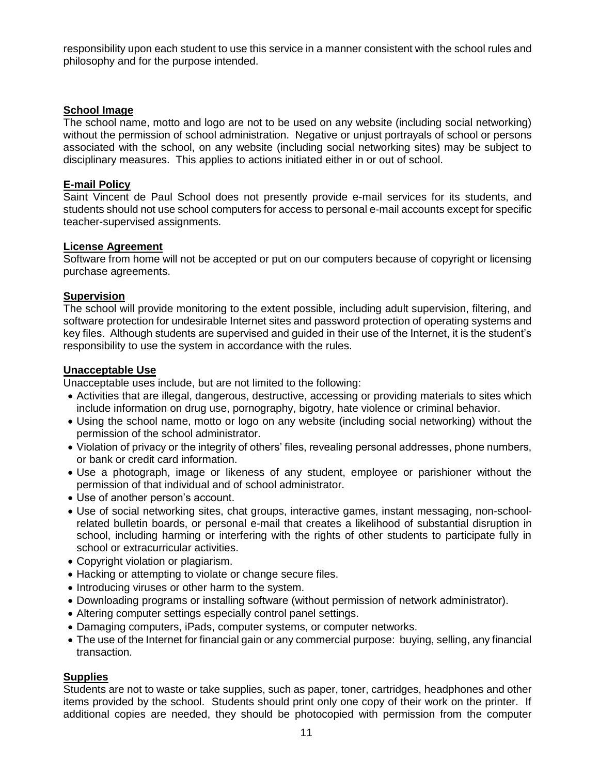responsibility upon each student to use this service in a manner consistent with the school rules and philosophy and for the purpose intended.

#### **School Image**

The school name, motto and logo are not to be used on any website (including social networking) without the permission of school administration. Negative or unjust portrayals of school or persons associated with the school, on any website (including social networking sites) may be subject to disciplinary measures. This applies to actions initiated either in or out of school.

#### **E-mail Policy**

Saint Vincent de Paul School does not presently provide e-mail services for its students, and students should not use school computers for access to personal e-mail accounts except for specific teacher-supervised assignments.

#### **License Agreement**

Software from home will not be accepted or put on our computers because of copyright or licensing purchase agreements.

#### **Supervision**

The school will provide monitoring to the extent possible, including adult supervision, filtering, and software protection for undesirable Internet sites and password protection of operating systems and key files. Although students are supervised and guided in their use of the Internet, it is the student's responsibility to use the system in accordance with the rules.

#### **Unacceptable Use**

Unacceptable uses include, but are not limited to the following:

- Activities that are illegal, dangerous, destructive, accessing or providing materials to sites which include information on drug use, pornography, bigotry, hate violence or criminal behavior.
- Using the school name, motto or logo on any website (including social networking) without the permission of the school administrator.
- Violation of privacy or the integrity of others' files, revealing personal addresses, phone numbers, or bank or credit card information.
- Use a photograph, image or likeness of any student, employee or parishioner without the permission of that individual and of school administrator.
- Use of another person's account.
- Use of social networking sites, chat groups, interactive games, instant messaging, non-schoolrelated bulletin boards, or personal e-mail that creates a likelihood of substantial disruption in school, including harming or interfering with the rights of other students to participate fully in school or extracurricular activities.
- Copyright violation or plagiarism.
- Hacking or attempting to violate or change secure files.
- Introducing viruses or other harm to the system.
- Downloading programs or installing software (without permission of network administrator).
- Altering computer settings especially control panel settings.
- Damaging computers, iPads, computer systems, or computer networks.
- The use of the Internet for financial gain or any commercial purpose: buying, selling, any financial transaction.

#### **Supplies**

Students are not to waste or take supplies, such as paper, toner, cartridges, headphones and other items provided by the school. Students should print only one copy of their work on the printer. If additional copies are needed, they should be photocopied with permission from the computer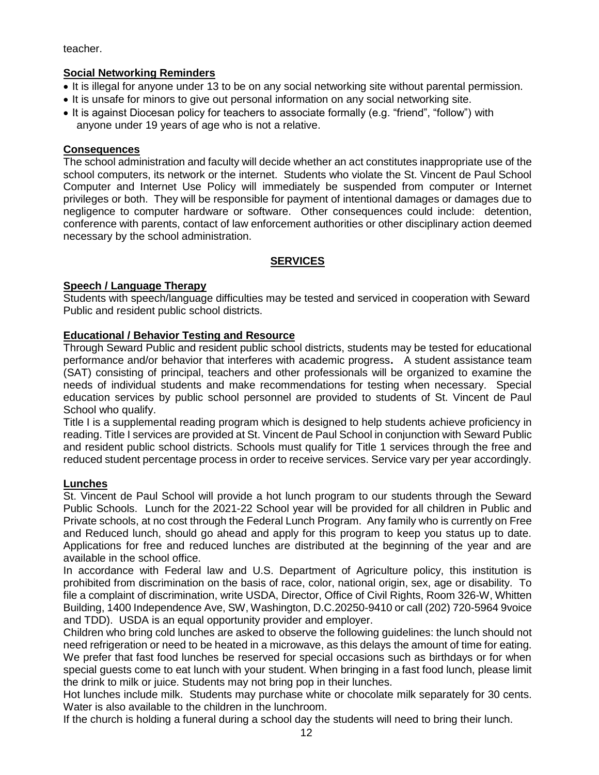teacher.

#### **Social Networking Reminders**

- It is illegal for anyone under 13 to be on any social networking site without parental permission.
- It is unsafe for minors to give out personal information on any social networking site.
- It is against Diocesan policy for teachers to associate formally (e.g. "friend", "follow") with anyone under 19 years of age who is not a relative.

#### **Consequences**

The school administration and faculty will decide whether an act constitutes inappropriate use of the school computers, its network or the internet. Students who violate the St. Vincent de Paul School Computer and Internet Use Policy will immediately be suspended from computer or Internet privileges or both. They will be responsible for payment of intentional damages or damages due to negligence to computer hardware or software. Other consequences could include: detention, conference with parents, contact of law enforcement authorities or other disciplinary action deemed necessary by the school administration.

#### **SERVICES**

#### **Speech / Language Therapy**

Students with speech/language difficulties may be tested and serviced in cooperation with Seward Public and resident public school districts.

#### **Educational / Behavior Testing and Resource**

Through Seward Public and resident public school districts, students may be tested for educational performance and/or behavior that interferes with academic progress**.** A student assistance team (SAT) consisting of principal, teachers and other professionals will be organized to examine the needs of individual students and make recommendations for testing when necessary. Special education services by public school personnel are provided to students of St. Vincent de Paul School who qualify.

Title I is a supplemental reading program which is designed to help students achieve proficiency in reading. Title I services are provided at St. Vincent de Paul School in conjunction with Seward Public and resident public school districts. Schools must qualify for Title 1 services through the free and reduced student percentage process in order to receive services. Service vary per year accordingly.

#### **Lunches**

St. Vincent de Paul School will provide a hot lunch program to our students through the Seward Public Schools. Lunch for the 2021-22 School year will be provided for all children in Public and Private schools, at no cost through the Federal Lunch Program. Any family who is currently on Free and Reduced lunch, should go ahead and apply for this program to keep you status up to date. Applications for free and reduced lunches are distributed at the beginning of the year and are available in the school office.

In accordance with Federal law and U.S. Department of Agriculture policy, this institution is prohibited from discrimination on the basis of race, color, national origin, sex, age or disability. To file a complaint of discrimination, write USDA, Director, Office of Civil Rights, Room 326-W, Whitten Building, 1400 Independence Ave, SW, Washington, D.C.20250-9410 or call (202) 720-5964 9voice and TDD). USDA is an equal opportunity provider and employer.

Children who bring cold lunches are asked to observe the following guidelines: the lunch should not need refrigeration or need to be heated in a microwave, as this delays the amount of time for eating. We prefer that fast food lunches be reserved for special occasions such as birthdays or for when special guests come to eat lunch with your student. When bringing in a fast food lunch, please limit the drink to milk or juice. Students may not bring pop in their lunches.

Hot lunches include milk. Students may purchase white or chocolate milk separately for 30 cents. Water is also available to the children in the lunchroom.

If the church is holding a funeral during a school day the students will need to bring their lunch.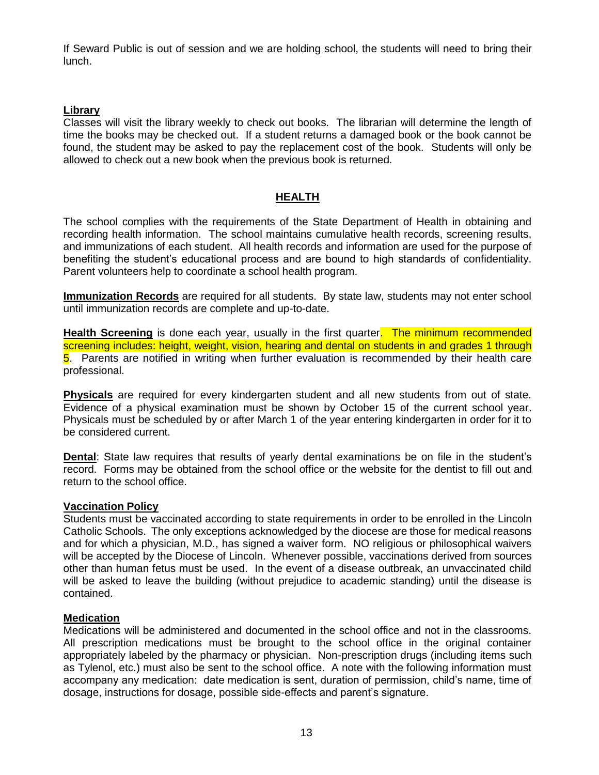If Seward Public is out of session and we are holding school, the students will need to bring their lunch.

#### **Library**

Classes will visit the library weekly to check out books. The librarian will determine the length of time the books may be checked out. If a student returns a damaged book or the book cannot be found, the student may be asked to pay the replacement cost of the book. Students will only be allowed to check out a new book when the previous book is returned.

#### **HEALTH**

The school complies with the requirements of the State Department of Health in obtaining and recording health information. The school maintains cumulative health records, screening results, and immunizations of each student. All health records and information are used for the purpose of benefiting the student's educational process and are bound to high standards of confidentiality. Parent volunteers help to coordinate a school health program.

**Immunization Records** are required for all students. By state law, students may not enter school until immunization records are complete and up-to-date.

**Health Screening** is done each year, usually in the first quarter. The minimum recommended screening includes: height, weight, vision, hearing and dental on students in and grades 1 through 5. Parents are notified in writing when further evaluation is recommended by their health care professional.

**Physicals** are required for every kindergarten student and all new students from out of state. Evidence of a physical examination must be shown by October 15 of the current school year. Physicals must be scheduled by or after March 1 of the year entering kindergarten in order for it to be considered current.

Dental: State law requires that results of yearly dental examinations be on file in the student's record. Forms may be obtained from the school office or the website for the dentist to fill out and return to the school office.

#### **Vaccination Policy**

Students must be vaccinated according to state requirements in order to be enrolled in the Lincoln Catholic Schools. The only exceptions acknowledged by the diocese are those for medical reasons and for which a physician, M.D., has signed a waiver form. NO religious or philosophical waivers will be accepted by the Diocese of Lincoln. Whenever possible, vaccinations derived from sources other than human fetus must be used. In the event of a disease outbreak, an unvaccinated child will be asked to leave the building (without prejudice to academic standing) until the disease is contained.

#### **Medication**

Medications will be administered and documented in the school office and not in the classrooms. All prescription medications must be brought to the school office in the original container appropriately labeled by the pharmacy or physician. Non-prescription drugs (including items such as Tylenol, etc.) must also be sent to the school office. A note with the following information must accompany any medication: date medication is sent, duration of permission, child's name, time of dosage, instructions for dosage, possible side-effects and parent's signature.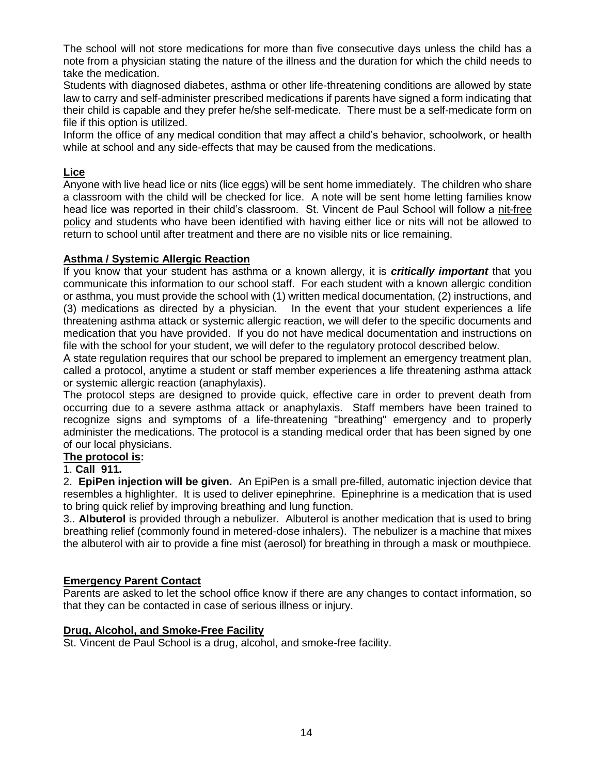The school will not store medications for more than five consecutive days unless the child has a note from a physician stating the nature of the illness and the duration for which the child needs to take the medication.

Students with diagnosed diabetes, asthma or other life-threatening conditions are allowed by state law to carry and self-administer prescribed medications if parents have signed a form indicating that their child is capable and they prefer he/she self-medicate. There must be a self-medicate form on file if this option is utilized.

Inform the office of any medical condition that may affect a child's behavior, schoolwork, or health while at school and any side-effects that may be caused from the medications.

#### **Lice**

Anyone with live head lice or nits (lice eggs) will be sent home immediately. The children who share a classroom with the child will be checked for lice. A note will be sent home letting families know head lice was reported in their child's classroom. St. Vincent de Paul School will follow a nit-free policy and students who have been identified with having either lice or nits will not be allowed to return to school until after treatment and there are no visible nits or lice remaining.

#### **Asthma / Systemic Allergic Reaction**

If you know that your student has asthma or a known allergy, it is *critically important* that you communicate this information to our school staff. For each student with a known allergic condition or asthma, you must provide the school with (1) written medical documentation, (2) instructions, and (3) medications as directed by a physician. In the event that your student experiences a life threatening asthma attack or systemic allergic reaction, we will defer to the specific documents and medication that you have provided. If you do not have medical documentation and instructions on file with the school for your student, we will defer to the regulatory protocol described below.

A state regulation requires that our school be prepared to implement an emergency treatment plan, called a protocol, anytime a student or staff member experiences a life threatening asthma attack or systemic allergic reaction (anaphylaxis).

The protocol steps are designed to provide quick, effective care in order to prevent death from occurring due to a severe asthma attack or anaphylaxis*.* Staff members have been trained to recognize signs and symptoms of a life-threatening "breathing" emergency and to properly administer the medications. The protocol is a standing medical order that has been signed by one of our local physicians.

#### **The protocol is:**

#### 1. **Call 911.**

2. **EpiPen injection will be given.** An EpiPen is a small pre-filled, automatic injection device that resembles a highlighter. It is used to deliver epinephrine. Epinephrine is a medication that is used to bring quick relief by improving breathing and lung function.

3.. **Albuterol** is provided through a nebulizer. Albuterol is another medication that is used to bring breathing relief (commonly found in metered-dose inhalers). The nebulizer is a machine that mixes the albuterol with air to provide a fine mist (aerosol) for breathing in through a mask or mouthpiece.

#### **Emergency Parent Contact**

Parents are asked to let the school office know if there are any changes to contact information, so that they can be contacted in case of serious illness or injury.

#### **Drug, Alcohol, and Smoke-Free Facility**

St. Vincent de Paul School is a drug, alcohol, and smoke-free facility.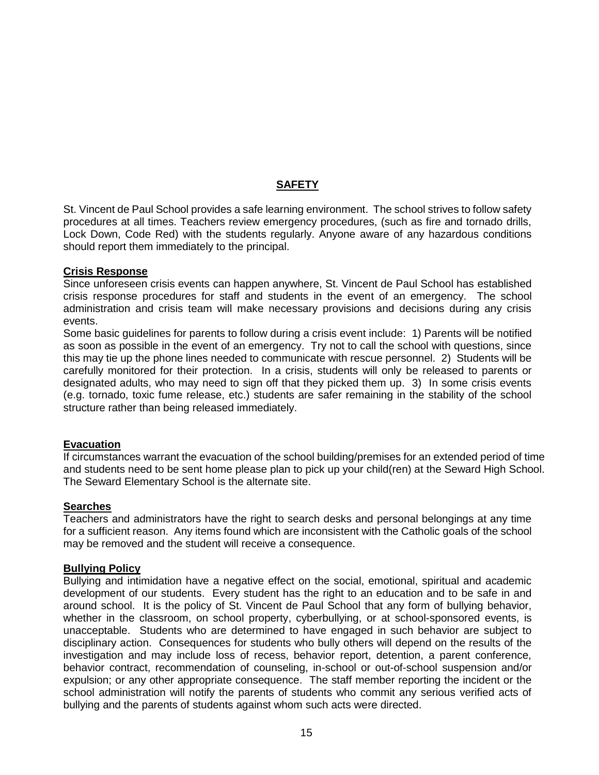#### **SAFETY**

St. Vincent de Paul School provides a safe learning environment. The school strives to follow safety procedures at all times. Teachers review emergency procedures, (such as fire and tornado drills, Lock Down, Code Red) with the students regularly. Anyone aware of any hazardous conditions should report them immediately to the principal.

#### **Crisis Response**

Since unforeseen crisis events can happen anywhere, St. Vincent de Paul School has established crisis response procedures for staff and students in the event of an emergency. The school administration and crisis team will make necessary provisions and decisions during any crisis events.

Some basic guidelines for parents to follow during a crisis event include: 1) Parents will be notified as soon as possible in the event of an emergency. Try not to call the school with questions, since this may tie up the phone lines needed to communicate with rescue personnel. 2) Students will be carefully monitored for their protection. In a crisis, students will only be released to parents or designated adults, who may need to sign off that they picked them up. 3) In some crisis events (e.g. tornado, toxic fume release, etc.) students are safer remaining in the stability of the school structure rather than being released immediately.

#### **Evacuation**

If circumstances warrant the evacuation of the school building/premises for an extended period of time and students need to be sent home please plan to pick up your child(ren) at the Seward High School. The Seward Elementary School is the alternate site.

#### **Searches**

Teachers and administrators have the right to search desks and personal belongings at any time for a sufficient reason. Any items found which are inconsistent with the Catholic goals of the school may be removed and the student will receive a consequence.

#### **Bullying Policy**

Bullying and intimidation have a negative effect on the social, emotional, spiritual and academic development of our students. Every student has the right to an education and to be safe in and around school. It is the policy of St. Vincent de Paul School that any form of bullying behavior, whether in the classroom, on school property, cyberbullying, or at school-sponsored events, is unacceptable. Students who are determined to have engaged in such behavior are subject to disciplinary action. Consequences for students who bully others will depend on the results of the investigation and may include loss of recess, behavior report, detention, a parent conference, behavior contract, recommendation of counseling, in-school or out-of-school suspension and/or expulsion; or any other appropriate consequence. The staff member reporting the incident or the school administration will notify the parents of students who commit any serious verified acts of bullying and the parents of students against whom such acts were directed.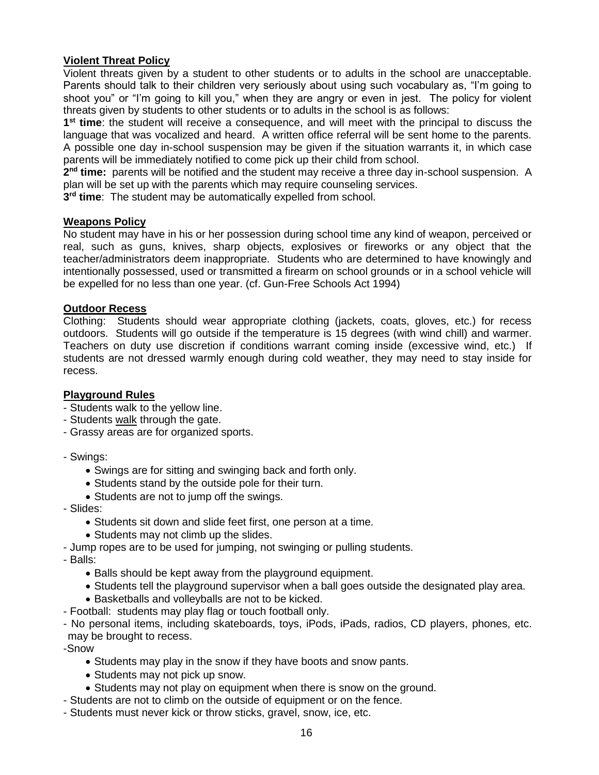#### **Violent Threat Policy**

Violent threats given by a student to other students or to adults in the school are unacceptable. Parents should talk to their children very seriously about using such vocabulary as, "I'm going to shoot you" or "I'm going to kill you," when they are angry or even in jest. The policy for violent threats given by students to other students or to adults in the school is as follows:

**1 st time**: the student will receive a consequence, and will meet with the principal to discuss the language that was vocalized and heard. A written office referral will be sent home to the parents. A possible one day in-school suspension may be given if the situation warrants it, in which case parents will be immediately notified to come pick up their child from school.

2<sup>nd</sup> time: parents will be notified and the student may receive a three day in-school suspension. A plan will be set up with the parents which may require counseling services.

**3 rd time**: The student may be automatically expelled from school.

#### **Weapons Policy**

No student may have in his or her possession during school time any kind of weapon, perceived or real, such as guns, knives, sharp objects, explosives or fireworks or any object that the teacher/administrators deem inappropriate. Students who are determined to have knowingly and intentionally possessed, used or transmitted a firearm on school grounds or in a school vehicle will be expelled for no less than one year. (cf. Gun-Free Schools Act 1994)

#### **Outdoor Recess**

Clothing: Students should wear appropriate clothing (jackets, coats, gloves, etc.) for recess outdoors. Students will go outside if the temperature is 15 degrees (with wind chill) and warmer. Teachers on duty use discretion if conditions warrant coming inside (excessive wind, etc.) If students are not dressed warmly enough during cold weather, they may need to stay inside for recess.

#### **Playground Rules**

- Students walk to the yellow line.
- Students walk through the gate.
- Grassy areas are for organized sports.
- Swings:
	- Swings are for sitting and swinging back and forth only.
	- Students stand by the outside pole for their turn.
	- Students are not to jump off the swings.
- Slides:
	- Students sit down and slide feet first, one person at a time.
	- Students may not climb up the slides.
- Jump ropes are to be used for jumping, not swinging or pulling students.
- Balls:
	- Balls should be kept away from the playground equipment.
	- Students tell the playground supervisor when a ball goes outside the designated play area.
	- Basketballs and volleyballs are not to be kicked.
- Football: students may play flag or touch football only.

- No personal items, including skateboards, toys, iPods, iPads, radios, CD players, phones, etc. may be brought to recess.

-Snow

- Students may play in the snow if they have boots and snow pants.
- Students may not pick up snow.
- Students may not play on equipment when there is snow on the ground.
- Students are not to climb on the outside of equipment or on the fence.
- Students must never kick or throw sticks, gravel, snow, ice, etc.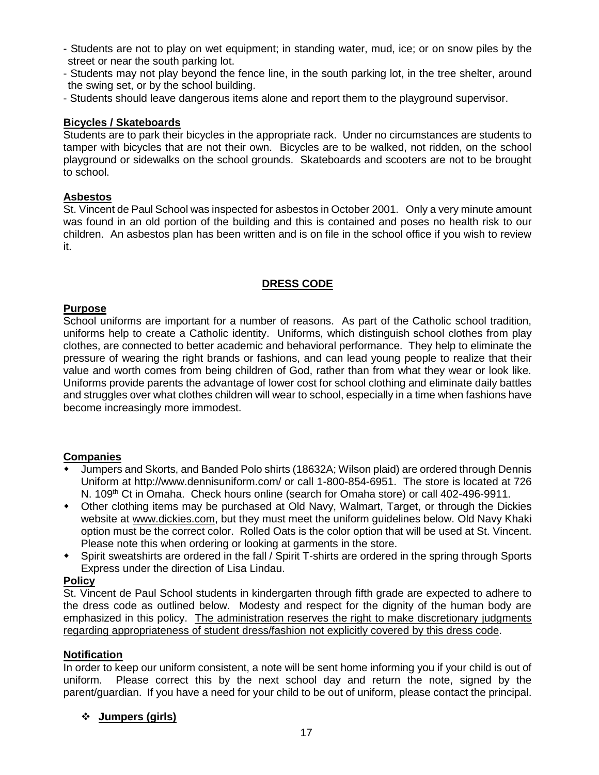- Students are not to play on wet equipment; in standing water, mud, ice; or on snow piles by the street or near the south parking lot.
- Students may not play beyond the fence line, in the south parking lot, in the tree shelter, around the swing set, or by the school building.
- Students should leave dangerous items alone and report them to the playground supervisor.

#### **Bicycles / Skateboards**

Students are to park their bicycles in the appropriate rack. Under no circumstances are students to tamper with bicycles that are not their own. Bicycles are to be walked, not ridden, on the school playground or sidewalks on the school grounds. Skateboards and scooters are not to be brought to school.

#### **Asbestos**

St. Vincent de Paul School was inspected for asbestos in October 2001. Only a very minute amount was found in an old portion of the building and this is contained and poses no health risk to our children. An asbestos plan has been written and is on file in the school office if you wish to review it.

#### **DRESS CODE**

#### **Purpose**

School uniforms are important for a number of reasons. As part of the Catholic school tradition, uniforms help to create a Catholic identity. Uniforms, which distinguish school clothes from play clothes, are connected to better academic and behavioral performance. They help to eliminate the pressure of wearing the right brands or fashions, and can lead young people to realize that their value and worth comes from being children of God, rather than from what they wear or look like. Uniforms provide parents the advantage of lower cost for school clothing and eliminate daily battles and struggles over what clothes children will wear to school, especially in a time when fashions have become increasingly more immodest.

#### **Companies**

- Jumpers and Skorts, and Banded Polo shirts (18632A; Wilson plaid) are ordered through Dennis Uniform at http://www.dennisuniform.com/ or call 1-800-854-6951. The store is located at 726 N. 109<sup>th</sup> Ct in Omaha. Check hours online (search for Omaha store) or call 402-496-9911.
- Other clothing items may be purchased at Old Navy, Walmart, Target, or through the Dickies website at [www.dickies.com,](http://www.dickies.com/) but they must meet the uniform guidelines below. Old Navy Khaki option must be the correct color. Rolled Oats is the color option that will be used at St. Vincent. Please note this when ordering or looking at garments in the store.
- Spirit sweatshirts are ordered in the fall / Spirit T-shirts are ordered in the spring through Sports Express under the direction of Lisa Lindau.

#### **Policy**

St. Vincent de Paul School students in kindergarten through fifth grade are expected to adhere to the dress code as outlined below. Modesty and respect for the dignity of the human body are emphasized in this policy. The administration reserves the right to make discretionary judgments regarding appropriateness of student dress/fashion not explicitly covered by this dress code.

#### **Notification**

In order to keep our uniform consistent, a note will be sent home informing you if your child is out of uniform. Please correct this by the next school day and return the note, signed by the parent/guardian. If you have a need for your child to be out of uniform, please contact the principal.

#### **Jumpers (girls)**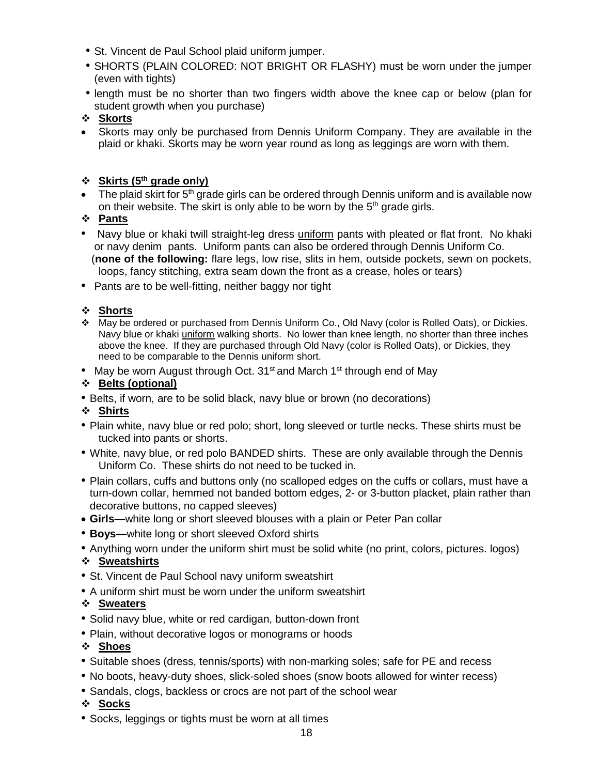- St. Vincent de Paul School plaid uniform jumper.
- SHORTS (PLAIN COLORED: NOT BRIGHT OR FLASHY) must be worn under the jumper (even with tights)
- length must be no shorter than two fingers width above the knee cap or below (plan for student growth when you purchase)

 Skorts may only be purchased from Dennis Uniform Company. They are available in the plaid or khaki. Skorts may be worn year round as long as leggings are worn with them.

#### **Skirts (5th grade only)**

- $\bullet$  The plaid skirt for 5<sup>th</sup> grade girls can be ordered through Dennis uniform and is available now on their website. The skirt is only able to be worn by the  $5<sup>th</sup>$  grade girls.
- **Pants**
- Navy blue or khaki twill straight-leg dress uniform pants with pleated or flat front. No khaki or navy denim pants. Uniform pants can also be ordered through Dennis Uniform Co. (**none of the following:** flare legs, low rise, slits in hem, outside pockets, sewn on pockets, loops, fancy stitching, extra seam down the front as a crease, holes or tears)
- Pants are to be well-fitting, neither baggy nor tight

#### **Shorts**

- May be ordered or purchased from Dennis Uniform Co., Old Navy (color is Rolled Oats), or Dickies. Navy blue or khaki uniform walking shorts. No lower than knee length, no shorter than three inches above the knee. If they are purchased through Old Navy (color is Rolled Oats), or Dickies, they need to be comparable to the Dennis uniform short.
- May be worn August through Oct. 31<sup>st</sup> and March 1<sup>st</sup> through end of May

#### **Belts (optional)**

• Belts, if worn, are to be solid black, navy blue or brown (no decorations)

#### **Shirts**

- Plain white, navy blue or red polo; short, long sleeved or turtle necks. These shirts must be tucked into pants or shorts.
- White, navy blue, or red polo BANDED shirts. These are only available through the Dennis Uniform Co. These shirts do not need to be tucked in.
- Plain collars, cuffs and buttons only (no scalloped edges on the cuffs or collars, must have a turn-down collar, hemmed not banded bottom edges, 2- or 3-button placket, plain rather than decorative buttons, no capped sleeves)
- **Girls**—white long or short sleeved blouses with a plain or Peter Pan collar
- **Boys—**white long or short sleeved Oxford shirts
- Anything worn under the uniform shirt must be solid white (no print, colors, pictures. logos)

#### **Sweatshirts**

- St. Vincent de Paul School navy uniform sweatshirt
- A uniform shirt must be worn under the uniform sweatshirt

#### **Sweaters**

- Solid navy blue, white or red cardigan, button-down front
- Plain, without decorative logos or monograms or hoods

#### **Shoes**

- Suitable shoes (dress, tennis/sports) with non-marking soles; safe for PE and recess
- No boots, heavy-duty shoes, slick-soled shoes (snow boots allowed for winter recess)
- Sandals, clogs, backless or crocs are not part of the school wear

#### **Socks**

• Socks, leggings or tights must be worn at all times

**Skorts**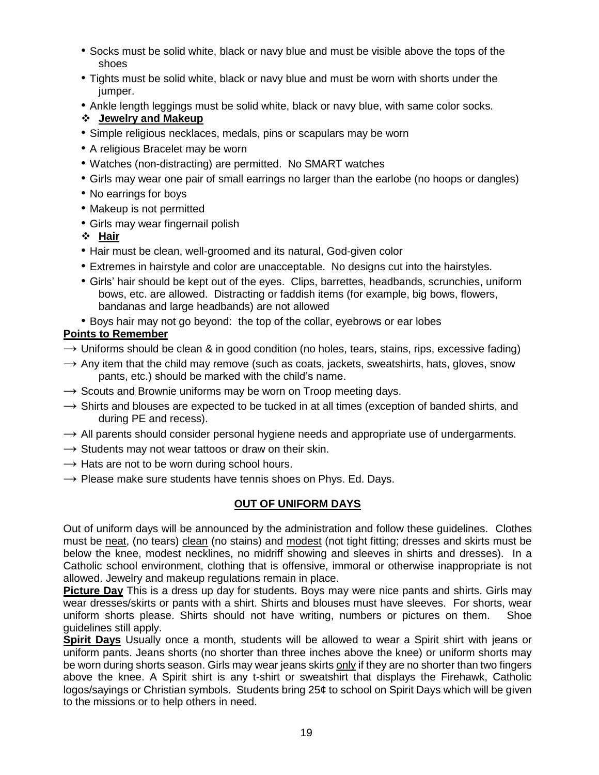- Socks must be solid white, black or navy blue and must be visible above the tops of the shoes
- Tights must be solid white, black or navy blue and must be worn with shorts under the jumper.
- Ankle length leggings must be solid white, black or navy blue, with same color socks.

#### **Jewelry and Makeup**

- Simple religious necklaces, medals, pins or scapulars may be worn
- A religious Bracelet may be worn
- Watches (non-distracting) are permitted. No SMART watches
- Girls may wear one pair of small earrings no larger than the earlobe (no hoops or dangles)
- No earrings for boys
- Makeup is not permitted
- Girls may wear fingernail polish
- **Hair**
- Hair must be clean, well-groomed and its natural, God-given color
- Extremes in hairstyle and color are unacceptable. No designs cut into the hairstyles.
- Girls' hair should be kept out of the eyes. Clips, barrettes, headbands, scrunchies, uniform bows, etc. are allowed. Distracting or faddish items (for example, big bows, flowers, bandanas and large headbands) are not allowed
- Boys hair may not go beyond: the top of the collar, eyebrows or ear lobes

#### **Points to Remember**

- $\rightarrow$  Uniforms should be clean & in good condition (no holes, tears, stains, rips, excessive fading)
- $\rightarrow$  Any item that the child may remove (such as coats, jackets, sweatshirts, hats, gloves, snow pants, etc.) should be marked with the child's name.
- $\rightarrow$  Scouts and Brownie uniforms may be worn on Troop meeting days.
- $\rightarrow$  Shirts and blouses are expected to be tucked in at all times (exception of banded shirts, and during PE and recess).
- $\rightarrow$  All parents should consider personal hygiene needs and appropriate use of undergarments.
- $\rightarrow$  Students may not wear tattoos or draw on their skin.
- $\rightarrow$  Hats are not to be worn during school hours.
- $\rightarrow$  Please make sure students have tennis shoes on Phys. Ed. Days.

#### **OUT OF UNIFORM DAYS**

Out of uniform days will be announced by the administration and follow these guidelines. Clothes must be neat, (no tears) clean (no stains) and modest (not tight fitting; dresses and skirts must be below the knee, modest necklines, no midriff showing and sleeves in shirts and dresses). In a Catholic school environment, clothing that is offensive, immoral or otherwise inappropriate is not allowed. Jewelry and makeup regulations remain in place.

**Picture Day** This is a dress up day for students. Boys may were nice pants and shirts. Girls may wear dresses/skirts or pants with a shirt. Shirts and blouses must have sleeves. For shorts, wear uniform shorts please. Shirts should not have writing, numbers or pictures on them. Shoe guidelines still apply.

**Spirit Days** Usually once a month, students will be allowed to wear a Spirit shirt with jeans or uniform pants. Jeans shorts (no shorter than three inches above the knee) or uniform shorts may be worn during shorts season. Girls may wear jeans skirts only if they are no shorter than two fingers above the knee. A Spirit shirt is any t-shirt or sweatshirt that displays the Firehawk, Catholic logos/sayings or Christian symbols. Students bring 25¢ to school on Spirit Days which will be given to the missions or to help others in need.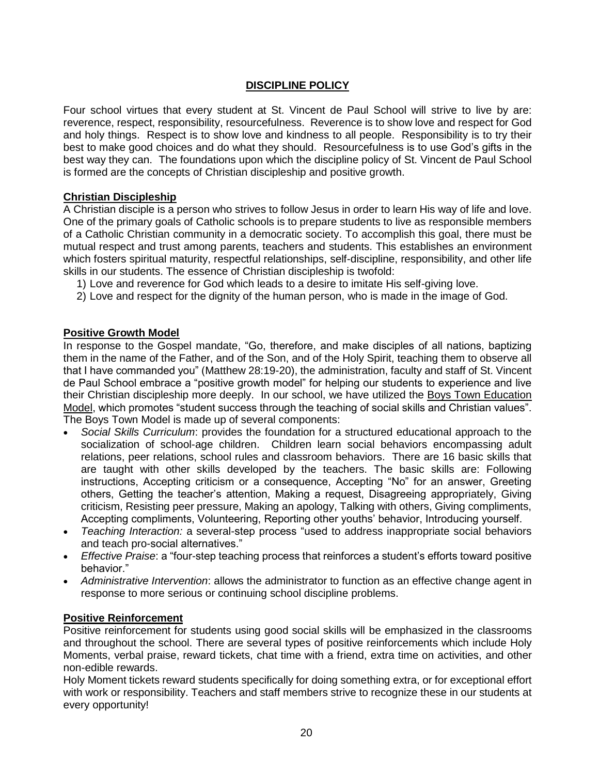#### **DISCIPLINE POLICY**

Four school virtues that every student at St. Vincent de Paul School will strive to live by are: reverence, respect, responsibility, resourcefulness. Reverence is to show love and respect for God and holy things. Respect is to show love and kindness to all people. Responsibility is to try their best to make good choices and do what they should. Resourcefulness is to use God's gifts in the best way they can. The foundations upon which the discipline policy of St. Vincent de Paul School is formed are the concepts of Christian discipleship and positive growth.

#### **Christian Discipleship**

A Christian disciple is a person who strives to follow Jesus in order to learn His way of life and love. One of the primary goals of Catholic schools is to prepare students to live as responsible members of a Catholic Christian community in a democratic society. To accomplish this goal, there must be mutual respect and trust among parents, teachers and students. This establishes an environment which fosters spiritual maturity, respectful relationships, self-discipline, responsibility, and other life skills in our students. The essence of Christian discipleship is twofold:

- 1) Love and reverence for God which leads to a desire to imitate His self-giving love.
- 2) Love and respect for the dignity of the human person, who is made in the image of God.

#### **Positive Growth Model**

In response to the Gospel mandate, "Go, therefore, and make disciples of all nations, baptizing them in the name of the Father, and of the Son, and of the Holy Spirit, teaching them to observe all that I have commanded you" (Matthew 28:19-20), the administration, faculty and staff of St. Vincent de Paul School embrace a "positive growth model" for helping our students to experience and live their Christian discipleship more deeply. In our school, we have utilized the Boys Town Education Model, which promotes "student success through the teaching of social skills and Christian values". The Boys Town Model is made up of several components:

- *Social Skills Curriculum*: provides the foundation for a structured educational approach to the socialization of school-age children. Children learn social behaviors encompassing adult relations, peer relations, school rules and classroom behaviors. There are 16 basic skills that are taught with other skills developed by the teachers. The basic skills are: Following instructions, Accepting criticism or a consequence, Accepting "No" for an answer, Greeting others, Getting the teacher's attention, Making a request, Disagreeing appropriately, Giving criticism, Resisting peer pressure, Making an apology, Talking with others, Giving compliments, Accepting compliments, Volunteering, Reporting other youths' behavior, Introducing yourself.
- *Teaching Interaction:* a several-step process "used to address inappropriate social behaviors and teach pro-social alternatives."
- *Effective Praise*: a "four-step teaching process that reinforces a student's efforts toward positive behavior."
- *Administrative Intervention*: allows the administrator to function as an effective change agent in response to more serious or continuing school discipline problems.

#### **Positive Reinforcement**

Positive reinforcement for students using good social skills will be emphasized in the classrooms and throughout the school. There are several types of positive reinforcements which include Holy Moments, verbal praise, reward tickets, chat time with a friend, extra time on activities, and other non-edible rewards.

Holy Moment tickets reward students specifically for doing something extra, or for exceptional effort with work or responsibility. Teachers and staff members strive to recognize these in our students at every opportunity!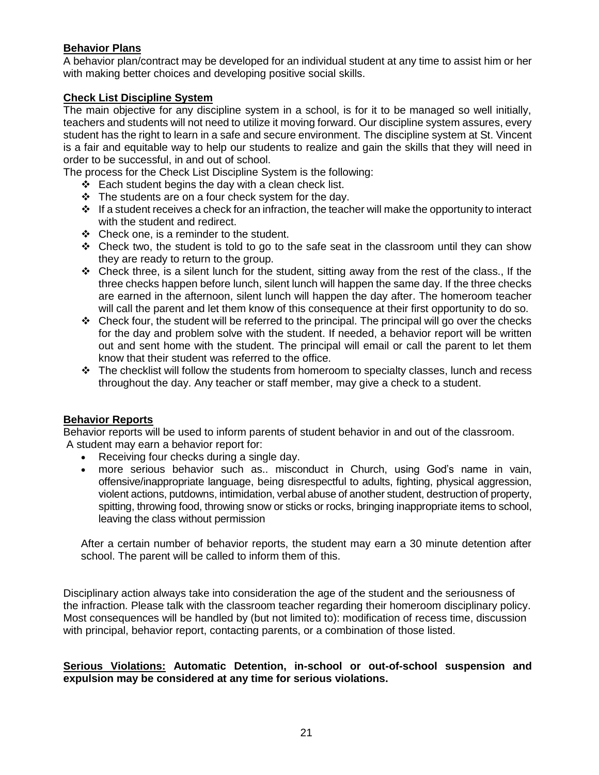#### **Behavior Plans**

A behavior plan/contract may be developed for an individual student at any time to assist him or her with making better choices and developing positive social skills.

#### **Check List Discipline System**

The main objective for any discipline system in a school, is for it to be managed so well initially, teachers and students will not need to utilize it moving forward. Our discipline system assures, every student has the right to learn in a safe and secure environment. The discipline system at St. Vincent is a fair and equitable way to help our students to realize and gain the skills that they will need in order to be successful, in and out of school.

The process for the Check List Discipline System is the following:

- $\div$  Each student begins the day with a clean check list.
- $\cdot \cdot$  The students are on a four check system for the day.
- $\cdot \cdot$  If a student receives a check for an infraction, the teacher will make the opportunity to interact with the student and redirect.
- $\div$  Check one, is a reminder to the student.
- $\div$  Check two, the student is told to go to the safe seat in the classroom until they can show they are ready to return to the group.
- $\div$  Check three, is a silent lunch for the student, sitting away from the rest of the class., If the three checks happen before lunch, silent lunch will happen the same day. If the three checks are earned in the afternoon, silent lunch will happen the day after. The homeroom teacher will call the parent and let them know of this consequence at their first opportunity to do so.
- \* Check four, the student will be referred to the principal. The principal will go over the checks for the day and problem solve with the student. If needed, a behavior report will be written out and sent home with the student. The principal will email or call the parent to let them know that their student was referred to the office.
- $\div$  The checklist will follow the students from homeroom to specialty classes, lunch and recess throughout the day. Any teacher or staff member, may give a check to a student.

#### **Behavior Reports**

Behavior reports will be used to inform parents of student behavior in and out of the classroom. A student may earn a behavior report for:

- Receiving four checks during a single day.
- more serious behavior such as.. misconduct in Church, using God's name in vain, offensive/inappropriate language, being disrespectful to adults, fighting, physical aggression, violent actions, putdowns, intimidation, verbal abuse of another student, destruction of property, spitting, throwing food, throwing snow or sticks or rocks, bringing inappropriate items to school, leaving the class without permission

After a certain number of behavior reports, the student may earn a 30 minute detention after school. The parent will be called to inform them of this.

Disciplinary action always take into consideration the age of the student and the seriousness of the infraction. Please talk with the classroom teacher regarding their homeroom disciplinary policy. Most consequences will be handled by (but not limited to): modification of recess time, discussion with principal, behavior report, contacting parents, or a combination of those listed.

#### **Serious Violations: Automatic Detention, in-school or out-of-school suspension and expulsion may be considered at any time for serious violations.**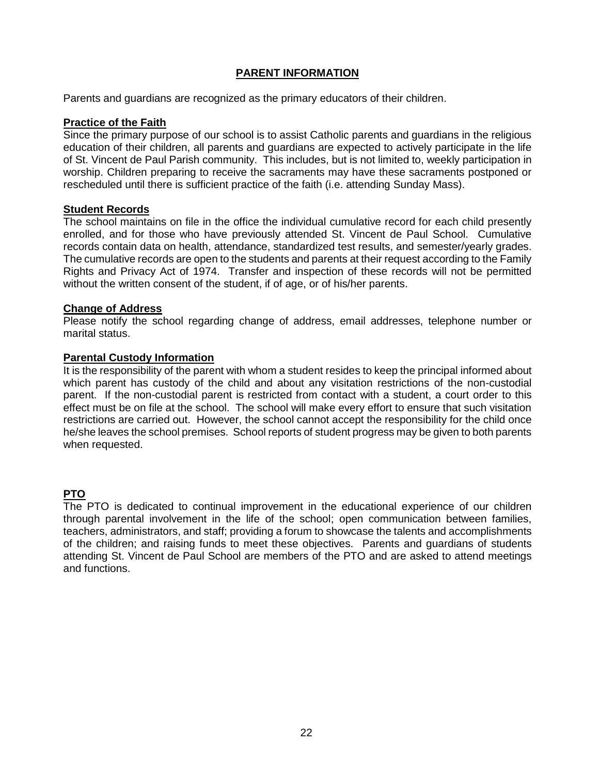#### **PARENT INFORMATION**

Parents and guardians are recognized as the primary educators of their children.

#### **Practice of the Faith**

Since the primary purpose of our school is to assist Catholic parents and guardians in the religious education of their children, all parents and guardians are expected to actively participate in the life of St. Vincent de Paul Parish community. This includes, but is not limited to, weekly participation in worship. Children preparing to receive the sacraments may have these sacraments postponed or rescheduled until there is sufficient practice of the faith (i.e. attending Sunday Mass).

#### **Student Records**

The school maintains on file in the office the individual cumulative record for each child presently enrolled, and for those who have previously attended St. Vincent de Paul School. Cumulative records contain data on health, attendance, standardized test results, and semester/yearly grades. The cumulative records are open to the students and parents at their request according to the Family Rights and Privacy Act of 1974. Transfer and inspection of these records will not be permitted without the written consent of the student, if of age, or of his/her parents.

#### **Change of Address**

Please notify the school regarding change of address, email addresses, telephone number or marital status.

#### **Parental Custody Information**

It is the responsibility of the parent with whom a student resides to keep the principal informed about which parent has custody of the child and about any visitation restrictions of the non-custodial parent. If the non-custodial parent is restricted from contact with a student, a court order to this effect must be on file at the school. The school will make every effort to ensure that such visitation restrictions are carried out. However, the school cannot accept the responsibility for the child once he/she leaves the school premises. School reports of student progress may be given to both parents when requested.

#### **PTO**

The PTO is dedicated to continual improvement in the educational experience of our children through parental involvement in the life of the school; open communication between families, teachers, administrators, and staff; providing a forum to showcase the talents and accomplishments of the children; and raising funds to meet these objectives. Parents and guardians of students attending St. Vincent de Paul School are members of the PTO and are asked to attend meetings and functions.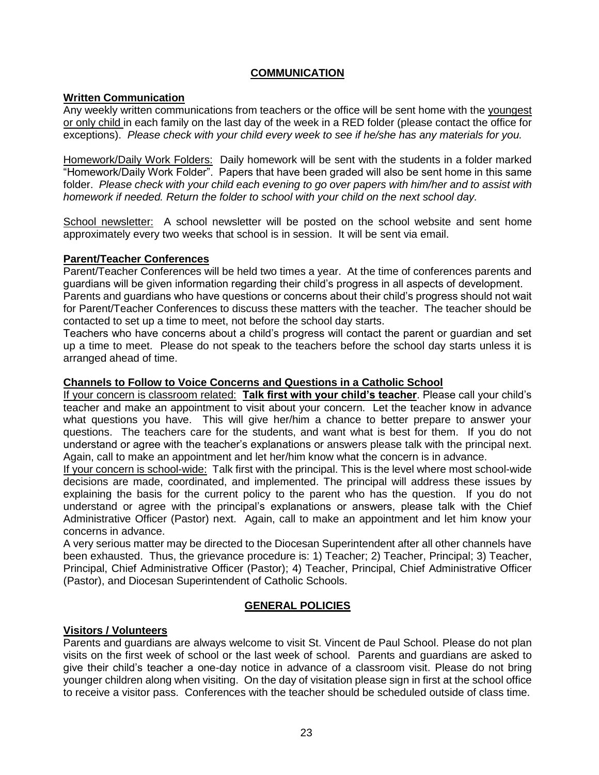#### **COMMUNICATION**

#### **Written Communication**

Any weekly written communications from teachers or the office will be sent home with the youngest or only child in each family on the last day of the week in a RED folder (please contact the office for exceptions). *Please check with your child every week to see if he/she has any materials for you.* 

Homework/Daily Work Folders: Daily homework will be sent with the students in a folder marked "Homework/Daily Work Folder". Papers that have been graded will also be sent home in this same folder. *Please check with your child each evening to go over papers with him/her and to assist with homework if needed. Return the folder to school with your child on the next school day.*

School newsletter: A school newsletter will be posted on the school website and sent home approximately every two weeks that school is in session. It will be sent via email.

#### **Parent/Teacher Conferences**

Parent/Teacher Conferences will be held two times a year. At the time of conferences parents and guardians will be given information regarding their child's progress in all aspects of development.

Parents and guardians who have questions or concerns about their child's progress should not wait for Parent/Teacher Conferences to discuss these matters with the teacher. The teacher should be contacted to set up a time to meet, not before the school day starts.

Teachers who have concerns about a child's progress will contact the parent or guardian and set up a time to meet. Please do not speak to the teachers before the school day starts unless it is arranged ahead of time.

#### **Channels to Follow to Voice Concerns and Questions in a Catholic School**

If your concern is classroom related: **Talk first with your child's teacher**. Please call your child's teacher and make an appointment to visit about your concern. Let the teacher know in advance what questions you have. This will give her/him a chance to better prepare to answer your questions. The teachers care for the students, and want what is best for them. If you do not understand or agree with the teacher's explanations or answers please talk with the principal next. Again, call to make an appointment and let her/him know what the concern is in advance.

If your concern is school-wide: Talk first with the principal. This is the level where most school-wide decisions are made, coordinated, and implemented. The principal will address these issues by explaining the basis for the current policy to the parent who has the question. If you do not understand or agree with the principal's explanations or answers, please talk with the Chief Administrative Officer (Pastor) next. Again, call to make an appointment and let him know your concerns in advance.

A very serious matter may be directed to the Diocesan Superintendent after all other channels have been exhausted. Thus, the grievance procedure is: 1) Teacher; 2) Teacher, Principal; 3) Teacher, Principal, Chief Administrative Officer (Pastor); 4) Teacher, Principal, Chief Administrative Officer (Pastor), and Diocesan Superintendent of Catholic Schools.

#### **GENERAL POLICIES**

#### **Visitors / Volunteers**

Parents and guardians are always welcome to visit St. Vincent de Paul School. Please do not plan visits on the first week of school or the last week of school. Parents and guardians are asked to give their child's teacher a one-day notice in advance of a classroom visit. Please do not bring younger children along when visiting. On the day of visitation please sign in first at the school office to receive a visitor pass. Conferences with the teacher should be scheduled outside of class time.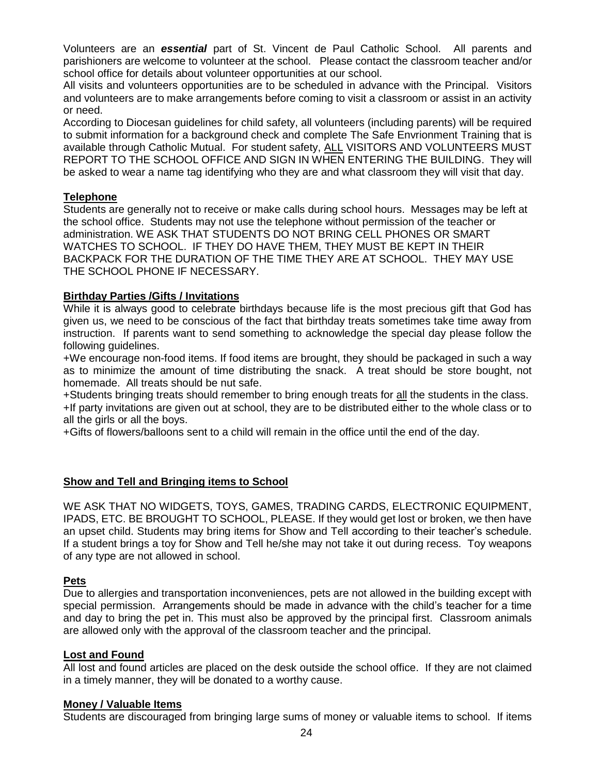Volunteers are an *essential* part of St. Vincent de Paul Catholic School. All parents and parishioners are welcome to volunteer at the school. Please contact the classroom teacher and/or school office for details about volunteer opportunities at our school.

All visits and volunteers opportunities are to be scheduled in advance with the Principal. Visitors and volunteers are to make arrangements before coming to visit a classroom or assist in an activity or need.

According to Diocesan guidelines for child safety, all volunteers (including parents) will be required to submit information for a background check and complete The Safe Envrionment Training that is available through Catholic Mutual. For student safety, ALL VISITORS AND VOLUNTEERS MUST REPORT TO THE SCHOOL OFFICE AND SIGN IN WHEN ENTERING THE BUILDING. They will be asked to wear a name tag identifying who they are and what classroom they will visit that day.

#### **Telephone**

Students are generally not to receive or make calls during school hours. Messages may be left at the school office. Students may not use the telephone without permission of the teacher or administration. WE ASK THAT STUDENTS DO NOT BRING CELL PHONES OR SMART WATCHES TO SCHOOL. IF THEY DO HAVE THEM, THEY MUST BE KEPT IN THEIR BACKPACK FOR THE DURATION OF THE TIME THEY ARE AT SCHOOL. THEY MAY USE THE SCHOOL PHONE IF NECESSARY.

#### **Birthday Parties /Gifts / Invitations**

While it is always good to celebrate birthdays because life is the most precious gift that God has given us, we need to be conscious of the fact that birthday treats sometimes take time away from instruction. If parents want to send something to acknowledge the special day please follow the following guidelines.

+We encourage non-food items. If food items are brought, they should be packaged in such a way as to minimize the amount of time distributing the snack. A treat should be store bought, not homemade. All treats should be nut safe.

+Students bringing treats should remember to bring enough treats for all the students in the class. +If party invitations are given out at school, they are to be distributed either to the whole class or to all the girls or all the boys.

+Gifts of flowers/balloons sent to a child will remain in the office until the end of the day.

#### **Show and Tell and Bringing items to School**

WE ASK THAT NO WIDGETS, TOYS, GAMES, TRADING CARDS, ELECTRONIC EQUIPMENT, IPADS, ETC. BE BROUGHT TO SCHOOL, PLEASE. If they would get lost or broken, we then have an upset child. Students may bring items for Show and Tell according to their teacher's schedule. If a student brings a toy for Show and Tell he/she may not take it out during recess. Toy weapons of any type are not allowed in school.

#### **Pets**

Due to allergies and transportation inconveniences, pets are not allowed in the building except with special permission. Arrangements should be made in advance with the child's teacher for a time and day to bring the pet in. This must also be approved by the principal first. Classroom animals are allowed only with the approval of the classroom teacher and the principal.

#### **Lost and Found**

All lost and found articles are placed on the desk outside the school office. If they are not claimed in a timely manner, they will be donated to a worthy cause.

#### **Money / Valuable Items**

Students are discouraged from bringing large sums of money or valuable items to school. If items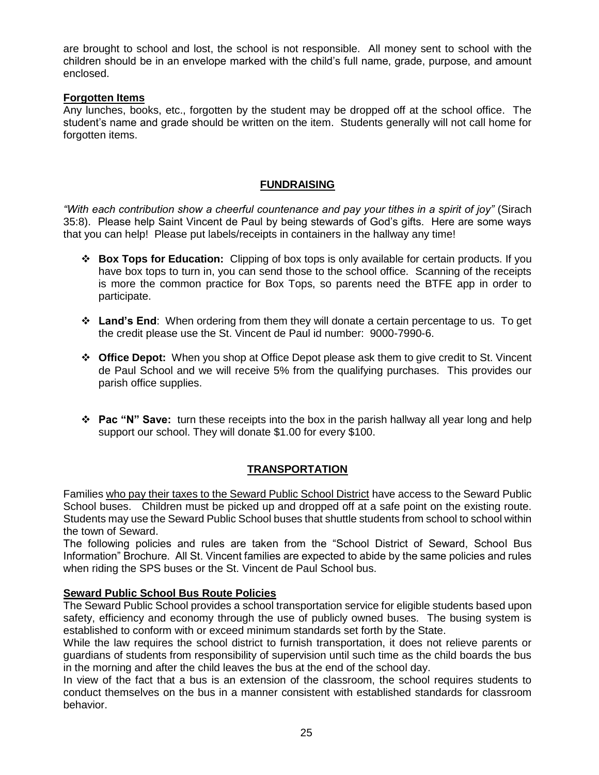are brought to school and lost, the school is not responsible. All money sent to school with the children should be in an envelope marked with the child's full name, grade, purpose, and amount enclosed.

#### **Forgotten Items**

Any lunches, books, etc., forgotten by the student may be dropped off at the school office. The student's name and grade should be written on the item. Students generally will not call home for forgotten items.

#### **FUNDRAISING**

*"With each contribution show a cheerful countenance and pay your tithes in a spirit of joy"* (Sirach 35:8). Please help Saint Vincent de Paul by being stewards of God's gifts. Here are some ways that you can help! Please put labels/receipts in containers in the hallway any time!

- **Box Tops for Education:** Clipping of box tops is only available for certain products. If you have box tops to turn in, you can send those to the school office. Scanning of the receipts is more the common practice for Box Tops, so parents need the BTFE app in order to participate.
- **Land's End**: When ordering from them they will donate a certain percentage to us. To get the credit please use the St. Vincent de Paul id number: 9000-7990-6.
- **Office Depot:** When you shop at Office Depot please ask them to give credit to St. Vincent de Paul School and we will receive 5% from the qualifying purchases. This provides our parish office supplies.
- **Pac "N" Save:** turn these receipts into the box in the parish hallway all year long and help support our school. They will donate \$1.00 for every \$100.

#### **TRANSPORTATION**

Families who pay their taxes to the Seward Public School District have access to the Seward Public School buses. Children must be picked up and dropped off at a safe point on the existing route. Students may use the Seward Public School buses that shuttle students from school to school within the town of Seward.

The following policies and rules are taken from the "School District of Seward, School Bus Information" Brochure. All St. Vincent families are expected to abide by the same policies and rules when riding the SPS buses or the St. Vincent de Paul School bus.

#### **Seward Public School Bus Route Policies**

The Seward Public School provides a school transportation service for eligible students based upon safety, efficiency and economy through the use of publicly owned buses. The busing system is established to conform with or exceed minimum standards set forth by the State.

While the law requires the school district to furnish transportation, it does not relieve parents or guardians of students from responsibility of supervision until such time as the child boards the bus in the morning and after the child leaves the bus at the end of the school day.

In view of the fact that a bus is an extension of the classroom, the school requires students to conduct themselves on the bus in a manner consistent with established standards for classroom behavior.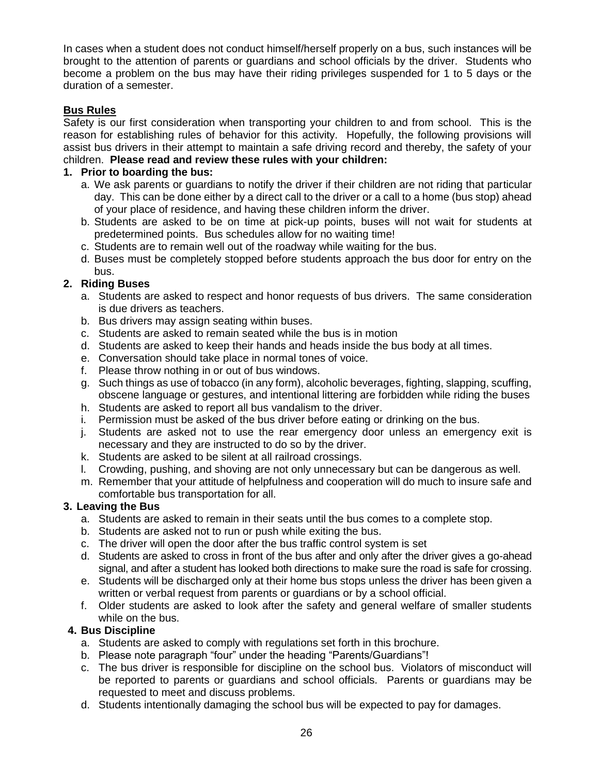In cases when a student does not conduct himself/herself properly on a bus, such instances will be brought to the attention of parents or guardians and school officials by the driver. Students who become a problem on the bus may have their riding privileges suspended for 1 to 5 days or the duration of a semester.

#### **Bus Rules**

Safety is our first consideration when transporting your children to and from school. This is the reason for establishing rules of behavior for this activity. Hopefully, the following provisions will assist bus drivers in their attempt to maintain a safe driving record and thereby, the safety of your children. **Please read and review these rules with your children:**

#### **1. Prior to boarding the bus:**

- a. We ask parents or guardians to notify the driver if their children are not riding that particular day. This can be done either by a direct call to the driver or a call to a home (bus stop) ahead of your place of residence, and having these children inform the driver.
- b. Students are asked to be on time at pick-up points, buses will not wait for students at predetermined points. Bus schedules allow for no waiting time!
- c. Students are to remain well out of the roadway while waiting for the bus.
- d. Buses must be completely stopped before students approach the bus door for entry on the bus.

#### **2. Riding Buses**

- a. Students are asked to respect and honor requests of bus drivers. The same consideration is due drivers as teachers.
- b. Bus drivers may assign seating within buses.
- c. Students are asked to remain seated while the bus is in motion
- d. Students are asked to keep their hands and heads inside the bus body at all times.
- e. Conversation should take place in normal tones of voice.
- f. Please throw nothing in or out of bus windows.
- g. Such things as use of tobacco (in any form), alcoholic beverages, fighting, slapping, scuffing, obscene language or gestures, and intentional littering are forbidden while riding the buses
- h. Students are asked to report all bus vandalism to the driver.
- i. Permission must be asked of the bus driver before eating or drinking on the bus.
- j. Students are asked not to use the rear emergency door unless an emergency exit is necessary and they are instructed to do so by the driver.
- k. Students are asked to be silent at all railroad crossings.
- l. Crowding, pushing, and shoving are not only unnecessary but can be dangerous as well.
- m. Remember that your attitude of helpfulness and cooperation will do much to insure safe and comfortable bus transportation for all.

#### **3. Leaving the Bus**

- a. Students are asked to remain in their seats until the bus comes to a complete stop.
- b. Students are asked not to run or push while exiting the bus.
- c. The driver will open the door after the bus traffic control system is set
- d. Students are asked to cross in front of the bus after and only after the driver gives a go-ahead signal, and after a student has looked both directions to make sure the road is safe for crossing.
- e. Students will be discharged only at their home bus stops unless the driver has been given a written or verbal request from parents or guardians or by a school official.
- f. Older students are asked to look after the safety and general welfare of smaller students while on the bus.

#### **4. Bus Discipline**

- a. Students are asked to comply with regulations set forth in this brochure.
- b. Please note paragraph "four" under the heading "Parents/Guardians"!
- c. The bus driver is responsible for discipline on the school bus. Violators of misconduct will be reported to parents or guardians and school officials. Parents or guardians may be requested to meet and discuss problems.
- d. Students intentionally damaging the school bus will be expected to pay for damages.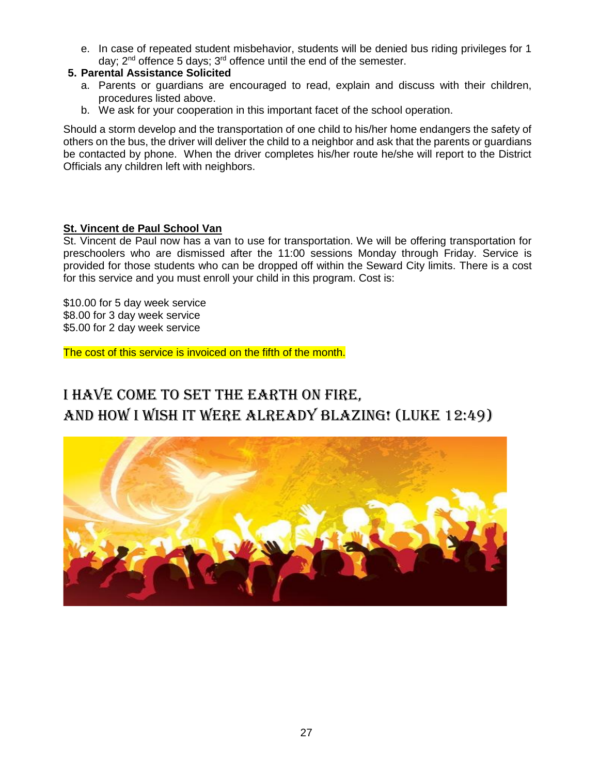e. In case of repeated student misbehavior, students will be denied bus riding privileges for 1 day;  $2^{nd}$  offence 5 days;  $3^{rd}$  offence until the end of the semester.

#### **5. Parental Assistance Solicited**

- a. Parents or guardians are encouraged to read, explain and discuss with their children, procedures listed above.
- b. We ask for your cooperation in this important facet of the school operation.

Should a storm develop and the transportation of one child to his/her home endangers the safety of others on the bus, the driver will deliver the child to a neighbor and ask that the parents or guardians be contacted by phone. When the driver completes his/her route he/she will report to the District Officials any children left with neighbors.

#### **St. Vincent de Paul School Van**

St. Vincent de Paul now has a van to use for transportation. We will be offering transportation for preschoolers who are dismissed after the 11:00 sessions Monday through Friday. Service is provided for those students who can be dropped off within the Seward City limits. There is a cost for this service and you must enroll your child in this program. Cost is:

\$10.00 for 5 day week service \$8.00 for 3 day week service \$5.00 for 2 day week service

The cost of this service is invoiced on the fifth of the month.

# I have come to set the earth on fire, and how I wish it were already blazing! (Luke 12:49)

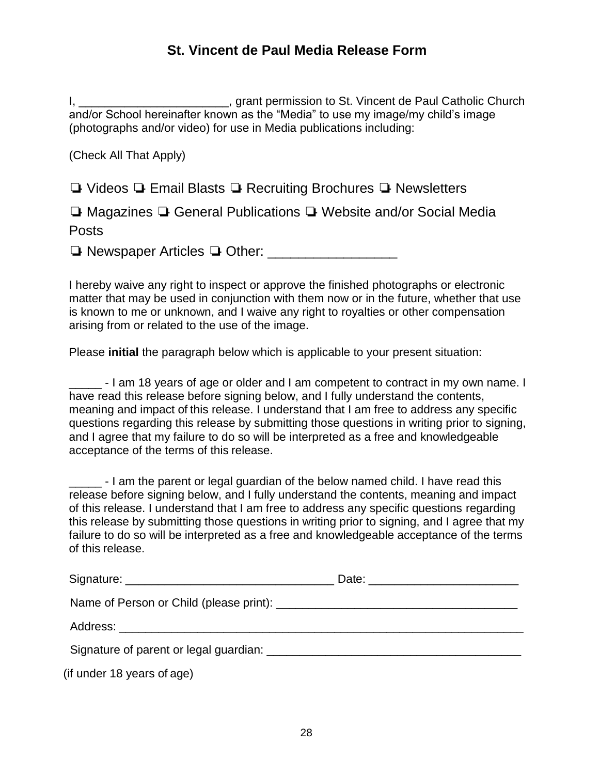### **St. Vincent de Paul Media Release Form**

I, \_\_\_\_\_\_\_\_\_\_\_\_\_\_\_\_\_\_\_\_\_\_\_\_\_\_\_\_\_, grant permission to St. Vincent de Paul Catholic Church and/or School hereinafter known as the "Media" to use my image/my child's image (photographs and/or video) for use in Media publications including:

(Check All That Apply)

❏- Videos ❏- Email Blasts ❏- Recruiting Brochures ❏- Newsletters

❏- Magazines ❏- General Publications ❏- Website and/or Social Media Posts

❏- Newspaper Articles ❏- Other: \_\_\_\_\_\_\_\_\_\_\_\_\_\_\_\_\_

I hereby waive any right to inspect or approve the finished photographs or electronic matter that may be used in conjunction with them now or in the future, whether that use is known to me or unknown, and I waive any right to royalties or other compensation arising from or related to the use of the image.

Please **initial** the paragraph below which is applicable to your present situation:

- I am 18 years of age or older and I am competent to contract in my own name. I have read this release before signing below, and I fully understand the contents, meaning and impact of this release. I understand that I am free to address any specific questions regarding this release by submitting those questions in writing prior to signing, and I agree that my failure to do so will be interpreted as a free and knowledgeable acceptance of the terms of this release.

\_\_\_\_\_ - I am the parent or legal guardian of the below named child. I have read this release before signing below, and I fully understand the contents, meaning and impact of this release. I understand that I am free to address any specific questions regarding this release by submitting those questions in writing prior to signing, and I agree that my failure to do so will be interpreted as a free and knowledgeable acceptance of the terms of this release.

| Signature of parent or legal guardian: Letter and the state of parent of the state of parent of the state of the state of the state of the state of the state of the state of the state of the state of the state of the state |  |
|--------------------------------------------------------------------------------------------------------------------------------------------------------------------------------------------------------------------------------|--|

(if under 18 years of age)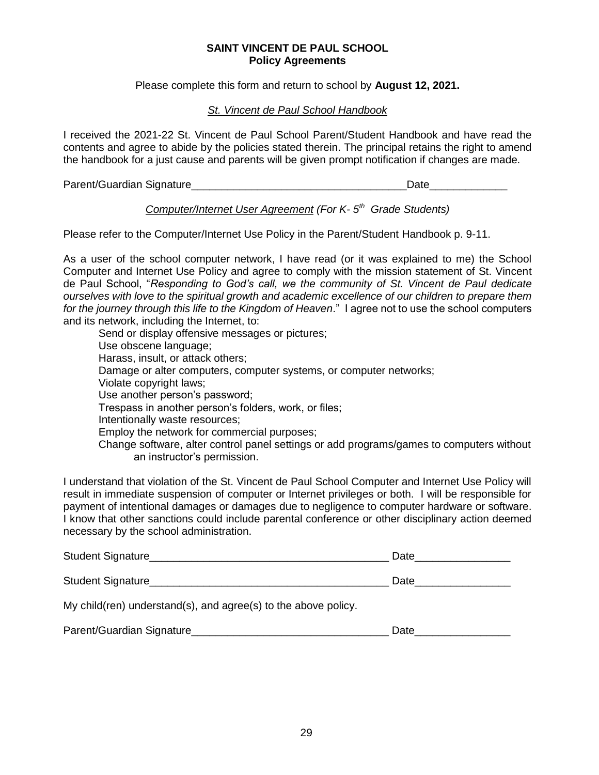#### **SAINT VINCENT DE PAUL SCHOOL Policy Agreements**

Please complete this form and return to school by **August 12, 2021.**

#### *St. Vincent de Paul School Handbook*

I received the 2021-22 St. Vincent de Paul School Parent/Student Handbook and have read the contents and agree to abide by the policies stated therein. The principal retains the right to amend the handbook for a just cause and parents will be given prompt notification if changes are made.

Parent/Guardian Signature\_\_\_\_\_\_\_\_\_\_\_\_\_\_\_\_\_\_\_\_\_\_\_\_\_\_\_\_\_\_\_\_\_\_\_\_Date\_\_\_\_\_\_\_\_\_\_\_\_\_

#### *Computer/Internet User Agreement (For K- 5 th Grade Students)*

Please refer to the Computer/Internet Use Policy in the Parent/Student Handbook p. 9-11.

As a user of the school computer network, I have read (or it was explained to me) the School Computer and Internet Use Policy and agree to comply with the mission statement of St. Vincent de Paul School, "*Responding to God's call, we the community of St. Vincent de Paul dedicate ourselves with love to the spiritual growth and academic excellence of our children to prepare them for the journey through this life to the Kingdom of Heaven*." I agree not to use the school computers and its network, including the Internet, to:

Send or display offensive messages or pictures; Use obscene language; Harass, insult, or attack others; Damage or alter computers, computer systems, or computer networks; Violate copyright laws; Use another person's password; Trespass in another person's folders, work, or files; Intentionally waste resources; Employ the network for commercial purposes; Change software, alter control panel settings or add programs/games to computers without an instructor's permission.

I understand that violation of the St. Vincent de Paul School Computer and Internet Use Policy will result in immediate suspension of computer or Internet privileges or both. I will be responsible for payment of intentional damages or damages due to negligence to computer hardware or software. I know that other sanctions could include parental conference or other disciplinary action deemed necessary by the school administration.

| Student Signature                                              | Date |
|----------------------------------------------------------------|------|
|                                                                | Date |
| My child(ren) understand(s), and agree(s) to the above policy. |      |
| Parent/Guardian Signature                                      | Date |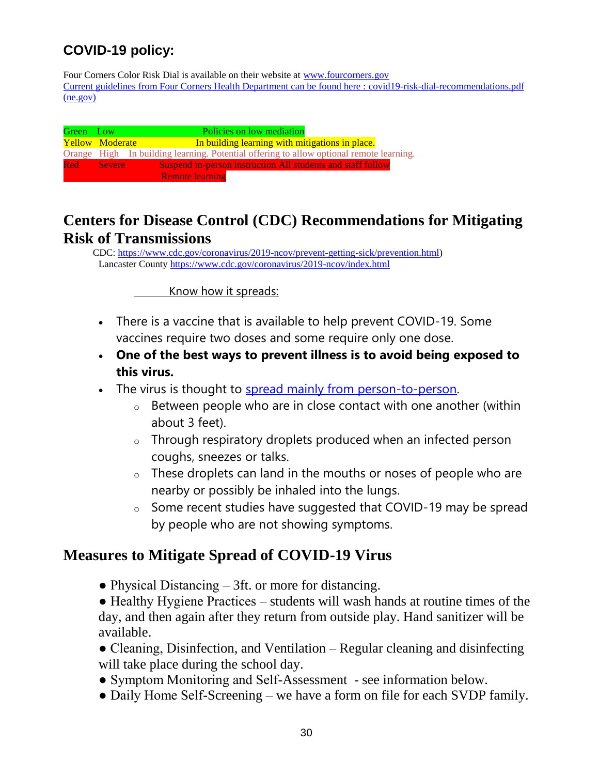## **COVID-19 policy:**

Four Corners Color Risk Dial is available on their website at [www.fourcorners.gov](http://www.fourcorners.gov/) Current guidelines from Four Corners Health Department can be found here : [covid19-risk-dial-recommendations.pdf](https://fourcorners.ne.gov/wp-content/uploads/2020/11/covid19-risk-dial-recommendations.pdf)  [\(ne.gov\)](https://fourcorners.ne.gov/wp-content/uploads/2020/11/covid19-risk-dial-recommendations.pdf)

| Green Low |                        | Policies on low mediation                                                               |
|-----------|------------------------|-----------------------------------------------------------------------------------------|
|           | <b>Yellow Moderate</b> | In building learning with mitigations in place.                                         |
|           |                        | Orange High In building learning. Potential offering to allow optional remote learning. |
|           | Red Severe             | Suspend in-person instruction All students and staff follow                             |
|           |                        | <b>Remote learning</b>                                                                  |

## **Centers for Disease Control (CDC) Recommendations for Mitigating Risk of Transmissions**

 CDC[: https://www.cdc.gov/coronavirus/2019-ncov/prevent-getting-sick/prevention.html\)](https://www.cdc.gov/coronavirus/2019-ncov/prevent-getting-sick/prevention.html) Lancaster County<https://www.cdc.gov/coronavirus/2019-ncov/index.html>

Know how it spreads:

- There is a vaccine that is available to help prevent COVID-19. Some vaccines require two doses and some require only one dose.
- **One of the best ways to prevent illness is to avoid being exposed to this virus.**
- The virus is thought to [spread mainly from person-to-person.](https://www.cdc.gov/coronavirus/2019-ncov/prevent-getting-sick/how-covid-spreads.html)
	- o Between people who are in close contact with one another (within about 3 feet).
	- o Through respiratory droplets produced when an infected person coughs, sneezes or talks.
	- o These droplets can land in the mouths or noses of people who are nearby or possibly be inhaled into the lungs.
	- o Some recent studies have suggested that COVID-19 may be spread by people who are not showing symptoms.

### **Measures to Mitigate Spread of COVID-19 Virus**

• Physical Distancing  $-3$ ft. or more for distancing.

● Healthy Hygiene Practices – students will wash hands at routine times of the day, and then again after they return from outside play. Hand sanitizer will be available.

- Cleaning, Disinfection, and Ventilation Regular cleaning and disinfecting will take place during the school day.
- Symptom Monitoring and Self-Assessment see information below.
- Daily Home Self-Screening we have a form on file for each SVDP family.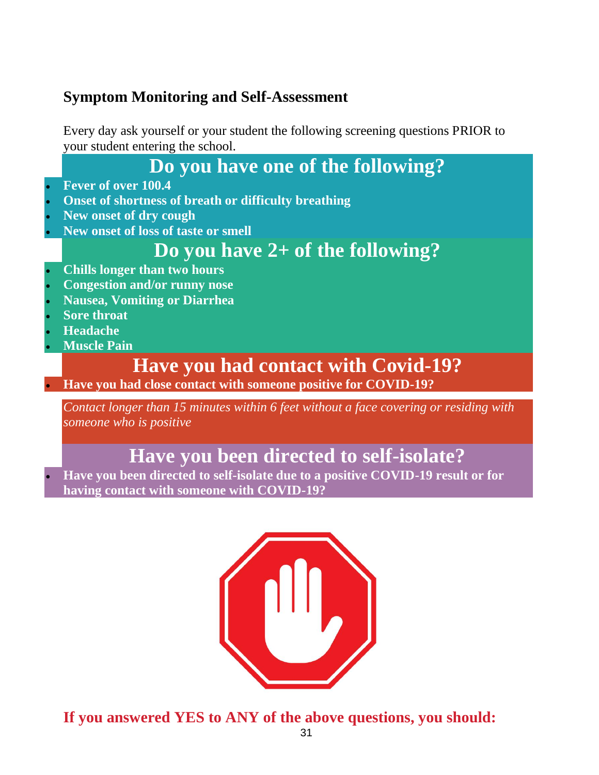## **Symptom Monitoring and Self-Assessment**

Every day ask yourself or your student the following screening questions PRIOR to your student entering the school.

# **Do you have one of the following?**

- **Fever of over 100.4**
- **Onset of shortness of breath or difficulty breathing**
- **New onset of dry cough**
- **New onset of loss of taste or smell**

# **Do you have 2+ of the following?**

- **Chills longer than two hours**
- **Congestion and/or runny nose**
- **Nausea, Vomiting or Diarrhea**
- **Sore throat**
- **Headache**
- **Muscle Pain**

# **Have you had contact with Covid-19?**

**Have you had close contact with someone positive for COVID-19?**

*Contact longer than 15 minutes within 6 feet without a face covering or residing with someone who is positive*

# **Have you been directed to self-isolate?**

 **Have you been directed to self-isolate due to a positive COVID-19 result or for having contact with someone with COVID-19?**



**If you answered YES to ANY of the above questions, you should:**